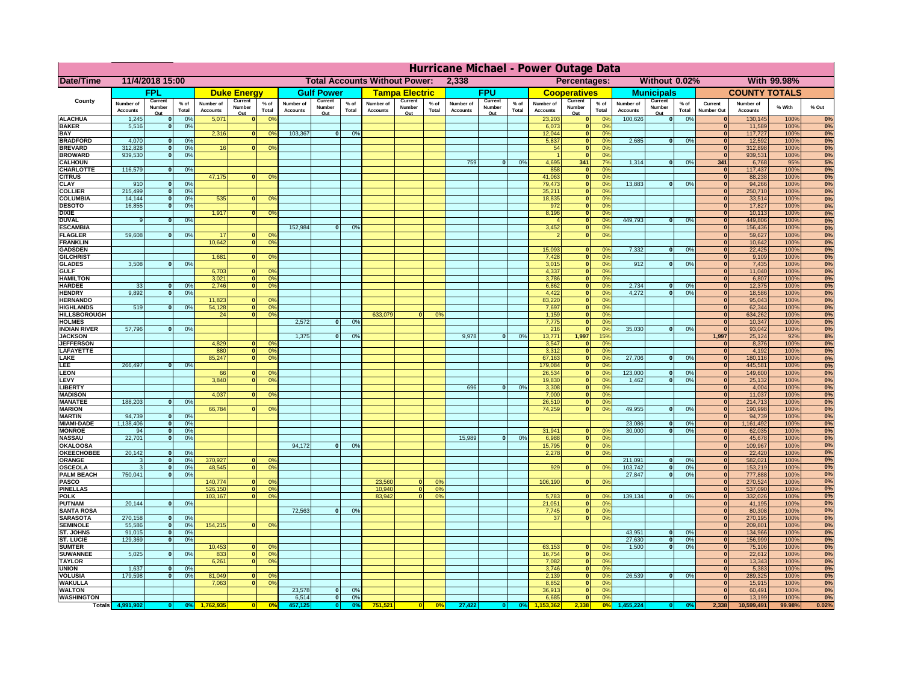| 11/4/2018 15:00<br><b>Total Accounts Without Power:</b><br>Without 0.02%<br><b>With 99.98%</b><br>Date/Time<br>2,338<br>Percentages:<br><b>FPU</b><br>FPL<br><b>Gulf Power</b><br><b>Tampa Electric</b><br><b>Municipals</b><br><b>COUNTY TOTALS</b><br><b>Duke Energy</b><br><b>Cooperatives</b><br>County<br>Current<br>Current<br>Current<br>Current<br>Current<br>Current<br>Current<br>$%$ of<br>$%$ of<br>$%$ of<br>Number of<br>$%$ of<br>Number of<br>Number of<br>$%$ of<br>Number of<br>Number of<br>$%$ of<br>Number of<br>Number of<br>$%$ of<br>Current<br>Number of<br>% With<br>% Out<br>Number<br>Number<br>Number<br>Number<br>Number<br>Number<br>Number<br>Total<br>Total<br>Total<br>Total<br>Total<br>Total<br><b>Accounts</b><br>Total<br><b>Accounts</b><br><b>Accounts</b><br><b>Accounts</b><br><b>Accounts</b><br><b>Accounts</b><br><b>Number Out</b><br><b>Accounts</b><br><b>Accounts</b><br>Out<br>Out<br>Out<br>Out<br>Out<br>Out<br>Out<br><b>ALACHUA</b><br>1,245<br>0%<br>5,071<br>0 <sup>9</sup><br>23,203<br>100,626<br> 0 <br>0%<br>130,145<br>100%<br>0%<br>$\mathbf{0}$<br>$\mathbf{0}$<br>$\mathbf{0}$<br>$\Omega$ <sup>c</sup><br>$\bf{0}$<br><b>BAKER</b><br>5,516<br>0%<br>6,073<br>0 <sup>9</sup><br>11,589<br>100%<br>$\mathbf{0}$<br>$\mathbf{0}$<br>$\mathbf{0}$<br>103,367<br><b>BAY</b><br>2,316<br>$\overline{0}$<br>0%<br>12,044<br>0%<br>117,727<br>100%<br>$\mathbf{0}$<br>0 <sup>9</sup><br>$\mathbf{0}$<br>$\bf{0}$<br>0%<br><b>BRADFORD</b><br>4,070<br>0%<br>5,837<br>ō<br>0%<br>2,685<br> 0 <br>12,592<br>100%<br>$\mathbf{0}$<br>0%<br>$\bf{0}$<br>0%<br><b>BREVARD</b><br>312,828<br>0%<br>16<br>54<br>$\mathbf{0}$<br>0%<br>312,898<br>100%<br>$\Omega$<br>$\Omega$<br>0 <sup>o</sup><br>$\bf{0}$<br>0%<br><b>BROWARD</b><br>939.530<br>0%<br>$\mathbf{0}$<br>0 <sup>9</sup><br>939,531<br>100%<br>$\Omega$<br>$\mathbf{0}$<br>759<br>4,695<br>1,314<br><b>CALHOUN</b><br> 0 <br>0%<br>341<br>7%<br> 0 <br>0%<br>341<br>6,768<br>95%<br>5%<br>116,579<br>858<br>CHARLOTTE<br>0%<br>$\mathbf{0}$<br>0 <sup>9</sup><br>117,437<br>100%<br>0%<br>$\mathbf{0}$<br>$\mathbf 0$<br>47,175<br>41,063<br>88,238<br>100%<br><b>CITRUS</b><br>0 <sup>o</sup><br>$\mathbf{0}$<br>$\Omega$ <sup>c</sup><br>$\mathbf{0}$<br>$\mathbf{0}$<br>79,473<br><b>CLAY</b><br>13,883<br>94,266<br>100%<br>910<br>0%<br>$\mathbf{0}$<br>0 <sup>9</sup><br>$\Omega$<br>0%<br>$\mathbf{0}$<br>$\mathbf{0}$<br>215,499<br>250,710<br><b>COLLIER</b><br>35,211<br>0 <sup>9</sup><br>100%<br>0%<br>$\mathbf{0}$<br>0 <sup>9</sup><br>$\mathbf{0}$<br>$\mathbf{0}$<br>535<br><b>COLUMBIA</b><br>14,144<br>18,835<br>0 <sup>9</sup><br>33,514<br>100%<br>0%<br>$\mathbf{0}$<br>0%<br>0 <sup>9</sup><br>$\mathbf{0}$<br>$\bf{0}$<br>$\bf{0}$<br>16,855<br>972<br>17,827<br><b>DESOTO</b><br>0 <sup>9</sup><br>100%<br>$\mathbf{0}$<br>0%<br>$\mathbf{0}$<br>$\bf{0}$<br>1,917<br><b>DIXIE</b><br>8,196<br>10,113<br>100%<br>0 <sup>9</sup><br>$\mathbf{0}$<br>0 <sup>9</sup><br>$\Omega$<br>$\bf{0}$<br>449.793<br>449,806<br><b>DUVAL</b><br>0%<br>100%<br>0%<br>$\mathbf{0}$<br>0 <sup>9</sup><br>$\mathbf{0}$<br>0%<br>9<br>$\Omega$<br>$\bf{0}$<br>152,984<br>3,452<br>156,436<br><b>ESCAMBIA</b><br>0%<br>100%<br>0%<br> 0 <br>0%<br>$\mathbf{0}$<br>$\mathbf{0}$<br><b>FLAGLER</b><br>59,608<br>0%<br>59,627<br>100%<br>0%<br>0%<br>17<br>$\mathbf{0}$<br>$\mathbf{0}$<br>$\mathbf{o}$<br>0°<br><b>FRANKLIN</b><br>10,642<br>0 <sup>9</sup><br>10,642<br>100%<br> 0 <br>0%<br>$\bf{0}$<br>15,093<br>7,332<br>22,425<br><b>GADSDEN</b><br>0%<br>$\overline{0}$<br>100%<br>0%<br>0 <sup>9</sup><br> 0 <br>$\mathbf{0}$<br>1,681<br>7,428<br>0%<br>9,109<br>100%<br><b>GILCHRIST</b><br>0 <sup>9</sup><br>$\overline{\mathbf{0}}$<br>$\overline{0}$<br>0%<br>$\Omega$<br>3,508<br>0%<br>3,015<br> 0 <br>0%<br>912<br>$\overline{0}$<br>0%<br>7,435<br>100%<br><b>GLADES</b><br>$\mathbf{0}$<br>$\mathbf{0}$<br>6,703<br>4,337<br>$\overline{0}$<br>0%<br> 0 <br>11,040<br>100%<br><b>GULF</b><br>n l<br>0 <sup>9</sup><br><b>HAMILTON</b><br>3,021<br>$\overline{0}$<br>0 <sup>9</sup><br>3,786<br>$\overline{0}$<br>0%<br>$\overline{0}$<br>6,807<br>100%<br>0%<br>33<br>0%<br>2.746<br>6.862<br>$\overline{0}$<br>2,734<br>12,375<br>100%<br><b>HARDEE</b><br>n l<br>0 <sup>9</sup><br>0%<br>$\mathbf{0}$<br>0%<br>$\mathbf{0}$<br>0%<br>$\mathbf{0}$<br><b>HENDRY</b><br>9.892<br>0%<br>4,422<br>$\overline{0}$<br>4.272<br>0%<br>18,586<br>100%<br>nl<br>0%<br>$\overline{0}$<br>$\mathbf{0}$<br>0%<br><b>HERNANDO</b><br>11,823<br>83,220<br>$\overline{\mathbf{0}}$<br>0%<br> 0 <br>95,043<br>100%<br>$\Omega$<br>0 <sup>9</sup><br><b>HIGHLANDS</b><br>519<br>0%<br>54,128<br> 0 <br>0 <sup>9</sup><br>7,697<br>$\overline{\mathbf{0}}$<br>0%<br>62,344<br>100%<br>$\mathbf{0}$<br>0%<br>$\bf{0}$<br><b>HILLSBOROUGH</b><br>$\overline{0}$<br>0%<br>633,079<br>1,159<br>$\overline{0}$<br>0%<br>634,262<br>100%<br>24<br>0%<br>$\mathbf{0}$<br>0%<br><b>HOLMES</b><br>2,572<br>0%<br>7,775<br>$\overline{\phantom{a}}$<br>0%<br>$\overline{0}$<br>10,347<br>100%<br>$\mathbf{0}$<br>0%<br><b>INDIAN RIVER</b><br>57,796<br>0%<br>216<br>35,030<br>0%<br>$\overline{0}$<br>93,042<br>100%<br>0<br>$\mathbf{0}$<br>0 <sup>9</sup><br>$\mathbf{0}$<br>1.375<br>9.978<br><b>JACKSON</b><br>0%<br>13,771<br>1,997<br>15%<br>1,997<br>25,124<br>92%<br>$\Omega$<br>$\Omega$<br> 0 <br>8%<br><b>JEFFERSON</b><br>4,829<br>3,547<br>0%<br>8,376<br>100%<br>n.<br>O <sup>9</sup><br>$\mathbf{0}$<br>$\bf{0}$<br>0%<br><b>LAFAYETTE</b><br>880<br>$\overline{0}$<br>0 <sup>9</sup><br>3,312<br>$\mathbf{0}$<br>0%<br>$\mathbf{0}$<br>4,192<br>100%<br>85,247<br>27,706<br>LAKE<br>$\overline{0}$<br>0 <sup>9</sup><br>67,163<br>$\mathbf{0}$<br>0%<br>$\overline{0}$<br>0%<br>$\mathbf{0}$<br>180,116<br>100%<br>266,497<br>LEE<br>0%<br>179,084<br>0%<br> 0 <br>445,581<br>100%<br>0%<br>$\Omega$<br>$\Omega$<br>123,000<br>LEON<br>26,534<br>0%<br> 0 <br>149,600<br>100%<br>0%<br>66<br>$\mathbf{0}$<br>0 <sup>o</sup><br>0%<br>$\bf{0}$<br>LEVY<br>3,840<br>0 <sup>9</sup><br>19,830<br>0%<br>1,462<br>0%<br> 0 <br>25,132<br>100%<br>$\Omega$<br>$\Omega$<br>LIBERTY<br>696<br> 0 <br>0%<br>3,308<br>0%<br>4,004<br>100%<br> 0 <br>0%<br><b>MADISON</b><br>4,037<br>7,000<br>0%<br>11,037<br>100%<br>0 <sup>9</sup><br> 0 <br>188,203<br>0%<br><b>MANATEE</b><br>0<br>0%<br>26,510<br>0%<br>214,713<br>100%<br> 0 <br>66,784<br>49,955<br><b>MARION</b><br>0 <sup>9</sup><br>74,259<br>0%<br>$\mathbf{0}$<br>0%<br> 0 <br>190,998<br>100%<br>$\Omega$<br>94,739<br><b>MARTIN</b><br> 0 <br>0%<br> 0 <br>94,739<br>100%<br>0%<br>1,138,406<br>23,086<br><b>MIAMI-DADE</b><br> 0 <br>0%<br> 0 <br>0%<br> 0 <br>1,161,492<br>100%<br>0%<br><b>MONROE</b><br>31,941<br>94<br> 0 <br>0%<br>30,000<br>$\Omega$<br>0%<br> 0 <br>62,035<br>100%<br>0 <sup>9</sup><br>22,701<br>15,989<br><b>NASSAU</b><br>6,988<br> 0 <br>0%<br> 0 <br>0%<br>$\mathbf{0}$<br>0 <sup>9</sup><br>$\mathbf{0}$<br>45,678<br>100%<br>94,172<br>OKALOOSA<br>0%<br>0%<br>$\mathbf{0}$<br>15,795<br> 0 <br>$\mathbf{0}$<br>109,967<br>100%<br>20,142<br>0%<br>0%<br><b>OKEECHOBEE</b><br>2,278<br>0%<br> 0 <br> 0 <br>$\mathbf{0}$<br>22,420<br>100%<br>211,091<br>370,927<br>0%<br>ORANGE<br>0%<br>$\mathbf{0}$<br>582,021<br>100%<br> 0 <br>$\mathbf{0}$<br>0 <sup>o</sup><br>0%<br>$\mathbf{0}$<br>3<br>48,545<br>929<br>103,742<br>0%<br>0 <sup>9</sup><br>0%<br>153,219<br>100%<br><b>OSCEOLA</b><br> 0 <br>$\Omega$<br>$\Omega$<br>0 <sup>9</sup><br> 0 <br> 0 <br>3<br>750,041<br><b>PALM BEACH</b><br>27,847<br>0%<br>777,888<br>100%<br>0%<br>$\mathbf{0}$<br>$\mathbf{0}$<br> 0 <br>140,774<br><b>PASCO</b><br>23,560<br>106,190<br>270,524<br>100%<br>0 <sup>9</sup><br> 0 <br>0 <sup>9</sup><br>$\mathbf{0}$<br>0%<br>$\mathbf{0}$<br>$\Omega$<br>0 <sup>9</sup><br><b>PINELLAS</b><br>526,150<br>0 <sup>9</sup><br>10,940<br>0%<br>537,090<br>100%<br>0%<br> 0 <br>$\mathbf{0}$<br> 0 <br>103,167<br>83,942<br>139,134<br><b>POLK</b><br>0 <sup>9</sup><br> 0 <br>0%<br>5,783<br>$\mathbf{0}$<br>0%<br>332,026<br>100%<br> 0 <br>$\mathbf{0}$<br>$\Omega$<br>no<br>20,144<br>0%<br>21,051<br><b>PUTNAM</b><br> 0 <br>0 <sup>9</sup><br>41,195<br>100%<br>$\mathbf{0}$<br>$\mathbf{0}$<br>72,563<br><b>SANTA ROSA</b><br> 0 <br>0%<br>7,745<br> 0 <br>0%<br>80,308<br>100%<br>0%<br>$\mathbf{0}$<br>270,158<br>$\overline{0}$<br>270,195<br><b>SARASOTA</b><br>0<br>0%<br>37<br>0%<br>$\mathbf{0}$<br>100%<br>0%<br>55,586<br>154,215<br><b>SEMINOLE</b><br> 0 <br>0%<br>$\mathbf{0}$<br>0 <sup>9</sup><br>$\mathbf{0}$<br>209,801<br>100%<br>ST. JOHNS<br>91,015<br>43,951<br>0<br>0%<br> 0 <br>0%<br> 0 <br>134,966<br>100%<br>129.369<br>27,630<br>0%<br>156.999<br>0%<br><b>ST. LUCIE</b><br>$\mathbf{0}$<br>0%<br>$\mathbf{0}$<br> 0 <br>100%<br>10,453<br>63,153<br>1.500<br>0%<br>75,106<br>100%<br>0%<br><b>SUMTER</b><br>$\mathbf{0}$<br>0 <sup>9</sup><br>0 <sup>o</sup><br>$\overline{0}$<br>$\mathbf{0}$<br>$\mathbf{0}$<br>5,025<br><b>SUWANNEE</b><br>0%<br>833<br> 0 <br>0 <sup>9</sup><br>16,754<br>22,612<br>100%<br>$\Omega$<br>$\mathbf{0}$<br>0 <sup>9</sup><br>$\mathbf{0}$<br><b>TAYLOR</b><br>6,261<br> 0 <br>0 <sup>9</sup><br>7,082<br>$\mathbf{0}$<br>0%<br>13,343<br>100%<br>0%<br>$\mathbf{0}$<br><b>UNION</b><br>1,637<br>0%<br>3,746<br>5,383<br>100%<br>0%<br>$\mathbf{0}$<br>$\mathbf{0}$<br>0 <sup>9</sup><br>$\mathbf{0}$<br>26,539<br><b>VOLUSIA</b><br>179,598<br>0%<br>81,049<br>2,139<br> 0 <br>0%<br>289,325<br>100%<br>0%<br>$\mathbf{0}$<br>$\bf{0}$<br>0 <sup>9</sup><br>$\mathbf{0}$<br>0 <sup>9</sup><br>$\mathbf{0}$<br>0%<br><b>WAKULLA</b><br>7,063<br>0 <sup>9</sup><br>8,852<br>0 <sup>9</sup><br>15,915<br>100%<br>$\mathbf{0}$<br>$\mathbf{0}$<br>$\mathbf{0}$<br>23,578<br>0%<br><b>WALTON</b><br>$\mathbf{0}$<br>0%<br>36,913<br>$\mathbf{0}$<br>0 <sup>9</sup><br>60,491<br>100%<br>$\bf{0}$<br><b>WASHINGTON</b><br>6,514<br>6,685<br>0%<br> 0 <br>0%<br>$\mathbf{0}$<br>$\bf{0}$<br>13,199<br>100%<br>0%<br>751,521<br>0%<br>0%<br>99.98%<br><b>Totals</b><br>$\mathbf{0}$<br>27,42<br>2,338<br>10,599,491<br>0.02%<br>0° | Hurricane Michael - Power Outage Data |  |  |  |  |  |  |  |  |  |  |  |  |  |  |  |  |    |
|---------------------------------------------------------------------------------------------------------------------------------------------------------------------------------------------------------------------------------------------------------------------------------------------------------------------------------------------------------------------------------------------------------------------------------------------------------------------------------------------------------------------------------------------------------------------------------------------------------------------------------------------------------------------------------------------------------------------------------------------------------------------------------------------------------------------------------------------------------------------------------------------------------------------------------------------------------------------------------------------------------------------------------------------------------------------------------------------------------------------------------------------------------------------------------------------------------------------------------------------------------------------------------------------------------------------------------------------------------------------------------------------------------------------------------------------------------------------------------------------------------------------------------------------------------------------------------------------------------------------------------------------------------------------------------------------------------------------------------------------------------------------------------------------------------------------------------------------------------------------------------------------------------------------------------------------------------------------------------------------------------------------------------------------------------------------------------------------------------------------------------------------------------------------------------------------------------------------------------------------------------------------------------------------------------------------------------------------------------------------------------------------------------------------------------------------------------------------------------------------------------------------------------------------------------------------------------------------------------------------------------------------------------------------------------------------------------------------------------------------------------------------------------------------------------------------------------------------------------------------------------------------------------------------------------------------------------------------------------------------------------------------------------------------------------------------------------------------------------------------------------------------------------------------------------------------------------------------------------------------------------------------------------------------------------------------------------------------------------------------------------------------------------------------------------------------------------------------------------------------------------------------------------------------------------------------------------------------------------------------------------------------------------------------------------------------------------------------------------------------------------------------------------------------------------------------------------------------------------------------------------------------------------------------------------------------------------------------------------------------------------------------------------------------------------------------------------------------------------------------------------------------------------------------------------------------------------------------------------------------------------------------------------------------------------------------------------------------------------------------------------------------------------------------------------------------------------------------------------------------------------------------------------------------------------------------------------------------------------------------------------------------------------------------------------------------------------------------------------------------------------------------------------------------------------------------------------------------------------------------------------------------------------------------------------------------------------------------------------------------------------------------------------------------------------------------------------------------------------------------------------------------------------------------------------------------------------------------------------------------------------------------------------------------------------------------------------------------------------------------------------------------------------------------------------------------------------------------------------------------------------------------------------------------------------------------------------------------------------------------------------------------------------------------------------------------------------------------------------------------------------------------------------------------------------------------------------------------------------------------------------------------------------------------------------------------------------------------------------------------------------------------------------------------------------------------------------------------------------------------------------------------------------------------------------------------------------------------------------------------------------------------------------------------------------------------------------------------------------------------------------------------------------------------------------------------------------------------------------------------------------------------------------------------------------------------------------------------------------------------------------------------------------------------------------------------------------------------------------------------------------------------------------------------------------------------------------------------------------------------------------------------------------------------------------------------------------------------------------------------------------------------------------------------------------------------------------------------------------------------------------------------------------------------------------------------------------------------------------------------------------------------------------------------------------------------------------------------------------------------------------------------------------------------------------------------------------------------------------------------------------------------------------------------------------------------------------------------------------------------------------------------------------------------------------------------------------------------------------------------------------------------------------------------------------------------------------------------------------------------------------------------------------------------------------------------------------------------------------------------------------------------------------------------------------------------------------------------------------------------------------------------------------------------------------------------------------------------------------------------------------------------------------------------------------------------------------------------------------------------------------------------------------------------------------------------------------------------------------------------------------------------------------------------------------------------------------------------------------------------------------------------------------------------------------------------------------------------------------------------------------------------------------------------------------------------------------------------------------------------------------------------------------------------------------------------------------------------------------------------------------------------------------------------------------------------------------------------------------------------------------------------------------------------------------------------------------------------------------------------------------------------------------------------------------------------------------------------------------------------------------------------------------------------------------------------------------------------------------------------------------------------------------------------------------------------------------------------------------------------------------------------------------------------------------------------------------------------------------------------------------------------------------------------------------------------------------------------------------------------------------------------------------------------------------------------------------------------------------------------------------------------------------------------------------------------------------------------------------------------------------------------------------------------------------------------------|---------------------------------------|--|--|--|--|--|--|--|--|--|--|--|--|--|--|--|--|----|
|                                                                                                                                                                                                                                                                                                                                                                                                                                                                                                                                                                                                                                                                                                                                                                                                                                                                                                                                                                                                                                                                                                                                                                                                                                                                                                                                                                                                                                                                                                                                                                                                                                                                                                                                                                                                                                                                                                                                                                                                                                                                                                                                                                                                                                                                                                                                                                                                                                                                                                                                                                                                                                                                                                                                                                                                                                                                                                                                                                                                                                                                                                                                                                                                                                                                                                                                                                                                                                                                                                                                                                                                                                                                                                                                                                                                                                                                                                                                                                                                                                                                                                                                                                                                                                                                                                                                                                                                                                                                                                                                                                                                                                                                                                                                                                                                                                                                                                                                                                                                                                                                                                                                                                                                                                                                                                                                                                                                                                                                                                                                                                                                                                                                                                                                                                                                                                                                                                                                                                                                                                                                                                                                                                                                                                                                                                                                                                                                                                                                                                                                                                                                                                                                                                                                                                                                                                                                                                                                                                                                                                                                                                                                                                                                                                                                                                                                                                                                                                                                                                                                                                                                                                                                                                                                                                                                                                                                                                                                                                                                                                                                                                                                                                                                                                                                                                                                                                                                                                                                                                                                                                                                                                                                                                                                                                                                                                                                                                                                                                                                                                                                                                                                                                                                                                                                                                                                                                                                                                                                                                                                                                                                                                                                                                                                                                                                                                                                                                                                                                                                                                                                                                                                                                                                   |                                       |  |  |  |  |  |  |  |  |  |  |  |  |  |  |  |  |    |
|                                                                                                                                                                                                                                                                                                                                                                                                                                                                                                                                                                                                                                                                                                                                                                                                                                                                                                                                                                                                                                                                                                                                                                                                                                                                                                                                                                                                                                                                                                                                                                                                                                                                                                                                                                                                                                                                                                                                                                                                                                                                                                                                                                                                                                                                                                                                                                                                                                                                                                                                                                                                                                                                                                                                                                                                                                                                                                                                                                                                                                                                                                                                                                                                                                                                                                                                                                                                                                                                                                                                                                                                                                                                                                                                                                                                                                                                                                                                                                                                                                                                                                                                                                                                                                                                                                                                                                                                                                                                                                                                                                                                                                                                                                                                                                                                                                                                                                                                                                                                                                                                                                                                                                                                                                                                                                                                                                                                                                                                                                                                                                                                                                                                                                                                                                                                                                                                                                                                                                                                                                                                                                                                                                                                                                                                                                                                                                                                                                                                                                                                                                                                                                                                                                                                                                                                                                                                                                                                                                                                                                                                                                                                                                                                                                                                                                                                                                                                                                                                                                                                                                                                                                                                                                                                                                                                                                                                                                                                                                                                                                                                                                                                                                                                                                                                                                                                                                                                                                                                                                                                                                                                                                                                                                                                                                                                                                                                                                                                                                                                                                                                                                                                                                                                                                                                                                                                                                                                                                                                                                                                                                                                                                                                                                                                                                                                                                                                                                                                                                                                                                                                                                                                                                                                   |                                       |  |  |  |  |  |  |  |  |  |  |  |  |  |  |  |  |    |
|                                                                                                                                                                                                                                                                                                                                                                                                                                                                                                                                                                                                                                                                                                                                                                                                                                                                                                                                                                                                                                                                                                                                                                                                                                                                                                                                                                                                                                                                                                                                                                                                                                                                                                                                                                                                                                                                                                                                                                                                                                                                                                                                                                                                                                                                                                                                                                                                                                                                                                                                                                                                                                                                                                                                                                                                                                                                                                                                                                                                                                                                                                                                                                                                                                                                                                                                                                                                                                                                                                                                                                                                                                                                                                                                                                                                                                                                                                                                                                                                                                                                                                                                                                                                                                                                                                                                                                                                                                                                                                                                                                                                                                                                                                                                                                                                                                                                                                                                                                                                                                                                                                                                                                                                                                                                                                                                                                                                                                                                                                                                                                                                                                                                                                                                                                                                                                                                                                                                                                                                                                                                                                                                                                                                                                                                                                                                                                                                                                                                                                                                                                                                                                                                                                                                                                                                                                                                                                                                                                                                                                                                                                                                                                                                                                                                                                                                                                                                                                                                                                                                                                                                                                                                                                                                                                                                                                                                                                                                                                                                                                                                                                                                                                                                                                                                                                                                                                                                                                                                                                                                                                                                                                                                                                                                                                                                                                                                                                                                                                                                                                                                                                                                                                                                                                                                                                                                                                                                                                                                                                                                                                                                                                                                                                                                                                                                                                                                                                                                                                                                                                                                                                                                                                                                   |                                       |  |  |  |  |  |  |  |  |  |  |  |  |  |  |  |  |    |
|                                                                                                                                                                                                                                                                                                                                                                                                                                                                                                                                                                                                                                                                                                                                                                                                                                                                                                                                                                                                                                                                                                                                                                                                                                                                                                                                                                                                                                                                                                                                                                                                                                                                                                                                                                                                                                                                                                                                                                                                                                                                                                                                                                                                                                                                                                                                                                                                                                                                                                                                                                                                                                                                                                                                                                                                                                                                                                                                                                                                                                                                                                                                                                                                                                                                                                                                                                                                                                                                                                                                                                                                                                                                                                                                                                                                                                                                                                                                                                                                                                                                                                                                                                                                                                                                                                                                                                                                                                                                                                                                                                                                                                                                                                                                                                                                                                                                                                                                                                                                                                                                                                                                                                                                                                                                                                                                                                                                                                                                                                                                                                                                                                                                                                                                                                                                                                                                                                                                                                                                                                                                                                                                                                                                                                                                                                                                                                                                                                                                                                                                                                                                                                                                                                                                                                                                                                                                                                                                                                                                                                                                                                                                                                                                                                                                                                                                                                                                                                                                                                                                                                                                                                                                                                                                                                                                                                                                                                                                                                                                                                                                                                                                                                                                                                                                                                                                                                                                                                                                                                                                                                                                                                                                                                                                                                                                                                                                                                                                                                                                                                                                                                                                                                                                                                                                                                                                                                                                                                                                                                                                                                                                                                                                                                                                                                                                                                                                                                                                                                                                                                                                                                                                                                                                   |                                       |  |  |  |  |  |  |  |  |  |  |  |  |  |  |  |  |    |
|                                                                                                                                                                                                                                                                                                                                                                                                                                                                                                                                                                                                                                                                                                                                                                                                                                                                                                                                                                                                                                                                                                                                                                                                                                                                                                                                                                                                                                                                                                                                                                                                                                                                                                                                                                                                                                                                                                                                                                                                                                                                                                                                                                                                                                                                                                                                                                                                                                                                                                                                                                                                                                                                                                                                                                                                                                                                                                                                                                                                                                                                                                                                                                                                                                                                                                                                                                                                                                                                                                                                                                                                                                                                                                                                                                                                                                                                                                                                                                                                                                                                                                                                                                                                                                                                                                                                                                                                                                                                                                                                                                                                                                                                                                                                                                                                                                                                                                                                                                                                                                                                                                                                                                                                                                                                                                                                                                                                                                                                                                                                                                                                                                                                                                                                                                                                                                                                                                                                                                                                                                                                                                                                                                                                                                                                                                                                                                                                                                                                                                                                                                                                                                                                                                                                                                                                                                                                                                                                                                                                                                                                                                                                                                                                                                                                                                                                                                                                                                                                                                                                                                                                                                                                                                                                                                                                                                                                                                                                                                                                                                                                                                                                                                                                                                                                                                                                                                                                                                                                                                                                                                                                                                                                                                                                                                                                                                                                                                                                                                                                                                                                                                                                                                                                                                                                                                                                                                                                                                                                                                                                                                                                                                                                                                                                                                                                                                                                                                                                                                                                                                                                                                                                                                                                   |                                       |  |  |  |  |  |  |  |  |  |  |  |  |  |  |  |  | 0% |
|                                                                                                                                                                                                                                                                                                                                                                                                                                                                                                                                                                                                                                                                                                                                                                                                                                                                                                                                                                                                                                                                                                                                                                                                                                                                                                                                                                                                                                                                                                                                                                                                                                                                                                                                                                                                                                                                                                                                                                                                                                                                                                                                                                                                                                                                                                                                                                                                                                                                                                                                                                                                                                                                                                                                                                                                                                                                                                                                                                                                                                                                                                                                                                                                                                                                                                                                                                                                                                                                                                                                                                                                                                                                                                                                                                                                                                                                                                                                                                                                                                                                                                                                                                                                                                                                                                                                                                                                                                                                                                                                                                                                                                                                                                                                                                                                                                                                                                                                                                                                                                                                                                                                                                                                                                                                                                                                                                                                                                                                                                                                                                                                                                                                                                                                                                                                                                                                                                                                                                                                                                                                                                                                                                                                                                                                                                                                                                                                                                                                                                                                                                                                                                                                                                                                                                                                                                                                                                                                                                                                                                                                                                                                                                                                                                                                                                                                                                                                                                                                                                                                                                                                                                                                                                                                                                                                                                                                                                                                                                                                                                                                                                                                                                                                                                                                                                                                                                                                                                                                                                                                                                                                                                                                                                                                                                                                                                                                                                                                                                                                                                                                                                                                                                                                                                                                                                                                                                                                                                                                                                                                                                                                                                                                                                                                                                                                                                                                                                                                                                                                                                                                                                                                                                                                   |                                       |  |  |  |  |  |  |  |  |  |  |  |  |  |  |  |  |    |
|                                                                                                                                                                                                                                                                                                                                                                                                                                                                                                                                                                                                                                                                                                                                                                                                                                                                                                                                                                                                                                                                                                                                                                                                                                                                                                                                                                                                                                                                                                                                                                                                                                                                                                                                                                                                                                                                                                                                                                                                                                                                                                                                                                                                                                                                                                                                                                                                                                                                                                                                                                                                                                                                                                                                                                                                                                                                                                                                                                                                                                                                                                                                                                                                                                                                                                                                                                                                                                                                                                                                                                                                                                                                                                                                                                                                                                                                                                                                                                                                                                                                                                                                                                                                                                                                                                                                                                                                                                                                                                                                                                                                                                                                                                                                                                                                                                                                                                                                                                                                                                                                                                                                                                                                                                                                                                                                                                                                                                                                                                                                                                                                                                                                                                                                                                                                                                                                                                                                                                                                                                                                                                                                                                                                                                                                                                                                                                                                                                                                                                                                                                                                                                                                                                                                                                                                                                                                                                                                                                                                                                                                                                                                                                                                                                                                                                                                                                                                                                                                                                                                                                                                                                                                                                                                                                                                                                                                                                                                                                                                                                                                                                                                                                                                                                                                                                                                                                                                                                                                                                                                                                                                                                                                                                                                                                                                                                                                                                                                                                                                                                                                                                                                                                                                                                                                                                                                                                                                                                                                                                                                                                                                                                                                                                                                                                                                                                                                                                                                                                                                                                                                                                                                                                                                   |                                       |  |  |  |  |  |  |  |  |  |  |  |  |  |  |  |  |    |
|                                                                                                                                                                                                                                                                                                                                                                                                                                                                                                                                                                                                                                                                                                                                                                                                                                                                                                                                                                                                                                                                                                                                                                                                                                                                                                                                                                                                                                                                                                                                                                                                                                                                                                                                                                                                                                                                                                                                                                                                                                                                                                                                                                                                                                                                                                                                                                                                                                                                                                                                                                                                                                                                                                                                                                                                                                                                                                                                                                                                                                                                                                                                                                                                                                                                                                                                                                                                                                                                                                                                                                                                                                                                                                                                                                                                                                                                                                                                                                                                                                                                                                                                                                                                                                                                                                                                                                                                                                                                                                                                                                                                                                                                                                                                                                                                                                                                                                                                                                                                                                                                                                                                                                                                                                                                                                                                                                                                                                                                                                                                                                                                                                                                                                                                                                                                                                                                                                                                                                                                                                                                                                                                                                                                                                                                                                                                                                                                                                                                                                                                                                                                                                                                                                                                                                                                                                                                                                                                                                                                                                                                                                                                                                                                                                                                                                                                                                                                                                                                                                                                                                                                                                                                                                                                                                                                                                                                                                                                                                                                                                                                                                                                                                                                                                                                                                                                                                                                                                                                                                                                                                                                                                                                                                                                                                                                                                                                                                                                                                                                                                                                                                                                                                                                                                                                                                                                                                                                                                                                                                                                                                                                                                                                                                                                                                                                                                                                                                                                                                                                                                                                                                                                                                                                   |                                       |  |  |  |  |  |  |  |  |  |  |  |  |  |  |  |  | 0% |
|                                                                                                                                                                                                                                                                                                                                                                                                                                                                                                                                                                                                                                                                                                                                                                                                                                                                                                                                                                                                                                                                                                                                                                                                                                                                                                                                                                                                                                                                                                                                                                                                                                                                                                                                                                                                                                                                                                                                                                                                                                                                                                                                                                                                                                                                                                                                                                                                                                                                                                                                                                                                                                                                                                                                                                                                                                                                                                                                                                                                                                                                                                                                                                                                                                                                                                                                                                                                                                                                                                                                                                                                                                                                                                                                                                                                                                                                                                                                                                                                                                                                                                                                                                                                                                                                                                                                                                                                                                                                                                                                                                                                                                                                                                                                                                                                                                                                                                                                                                                                                                                                                                                                                                                                                                                                                                                                                                                                                                                                                                                                                                                                                                                                                                                                                                                                                                                                                                                                                                                                                                                                                                                                                                                                                                                                                                                                                                                                                                                                                                                                                                                                                                                                                                                                                                                                                                                                                                                                                                                                                                                                                                                                                                                                                                                                                                                                                                                                                                                                                                                                                                                                                                                                                                                                                                                                                                                                                                                                                                                                                                                                                                                                                                                                                                                                                                                                                                                                                                                                                                                                                                                                                                                                                                                                                                                                                                                                                                                                                                                                                                                                                                                                                                                                                                                                                                                                                                                                                                                                                                                                                                                                                                                                                                                                                                                                                                                                                                                                                                                                                                                                                                                                                                                                   |                                       |  |  |  |  |  |  |  |  |  |  |  |  |  |  |  |  |    |
|                                                                                                                                                                                                                                                                                                                                                                                                                                                                                                                                                                                                                                                                                                                                                                                                                                                                                                                                                                                                                                                                                                                                                                                                                                                                                                                                                                                                                                                                                                                                                                                                                                                                                                                                                                                                                                                                                                                                                                                                                                                                                                                                                                                                                                                                                                                                                                                                                                                                                                                                                                                                                                                                                                                                                                                                                                                                                                                                                                                                                                                                                                                                                                                                                                                                                                                                                                                                                                                                                                                                                                                                                                                                                                                                                                                                                                                                                                                                                                                                                                                                                                                                                                                                                                                                                                                                                                                                                                                                                                                                                                                                                                                                                                                                                                                                                                                                                                                                                                                                                                                                                                                                                                                                                                                                                                                                                                                                                                                                                                                                                                                                                                                                                                                                                                                                                                                                                                                                                                                                                                                                                                                                                                                                                                                                                                                                                                                                                                                                                                                                                                                                                                                                                                                                                                                                                                                                                                                                                                                                                                                                                                                                                                                                                                                                                                                                                                                                                                                                                                                                                                                                                                                                                                                                                                                                                                                                                                                                                                                                                                                                                                                                                                                                                                                                                                                                                                                                                                                                                                                                                                                                                                                                                                                                                                                                                                                                                                                                                                                                                                                                                                                                                                                                                                                                                                                                                                                                                                                                                                                                                                                                                                                                                                                                                                                                                                                                                                                                                                                                                                                                                                                                                                                                   |                                       |  |  |  |  |  |  |  |  |  |  |  |  |  |  |  |  | 0% |
|                                                                                                                                                                                                                                                                                                                                                                                                                                                                                                                                                                                                                                                                                                                                                                                                                                                                                                                                                                                                                                                                                                                                                                                                                                                                                                                                                                                                                                                                                                                                                                                                                                                                                                                                                                                                                                                                                                                                                                                                                                                                                                                                                                                                                                                                                                                                                                                                                                                                                                                                                                                                                                                                                                                                                                                                                                                                                                                                                                                                                                                                                                                                                                                                                                                                                                                                                                                                                                                                                                                                                                                                                                                                                                                                                                                                                                                                                                                                                                                                                                                                                                                                                                                                                                                                                                                                                                                                                                                                                                                                                                                                                                                                                                                                                                                                                                                                                                                                                                                                                                                                                                                                                                                                                                                                                                                                                                                                                                                                                                                                                                                                                                                                                                                                                                                                                                                                                                                                                                                                                                                                                                                                                                                                                                                                                                                                                                                                                                                                                                                                                                                                                                                                                                                                                                                                                                                                                                                                                                                                                                                                                                                                                                                                                                                                                                                                                                                                                                                                                                                                                                                                                                                                                                                                                                                                                                                                                                                                                                                                                                                                                                                                                                                                                                                                                                                                                                                                                                                                                                                                                                                                                                                                                                                                                                                                                                                                                                                                                                                                                                                                                                                                                                                                                                                                                                                                                                                                                                                                                                                                                                                                                                                                                                                                                                                                                                                                                                                                                                                                                                                                                                                                                                                                   |                                       |  |  |  |  |  |  |  |  |  |  |  |  |  |  |  |  | 0% |
|                                                                                                                                                                                                                                                                                                                                                                                                                                                                                                                                                                                                                                                                                                                                                                                                                                                                                                                                                                                                                                                                                                                                                                                                                                                                                                                                                                                                                                                                                                                                                                                                                                                                                                                                                                                                                                                                                                                                                                                                                                                                                                                                                                                                                                                                                                                                                                                                                                                                                                                                                                                                                                                                                                                                                                                                                                                                                                                                                                                                                                                                                                                                                                                                                                                                                                                                                                                                                                                                                                                                                                                                                                                                                                                                                                                                                                                                                                                                                                                                                                                                                                                                                                                                                                                                                                                                                                                                                                                                                                                                                                                                                                                                                                                                                                                                                                                                                                                                                                                                                                                                                                                                                                                                                                                                                                                                                                                                                                                                                                                                                                                                                                                                                                                                                                                                                                                                                                                                                                                                                                                                                                                                                                                                                                                                                                                                                                                                                                                                                                                                                                                                                                                                                                                                                                                                                                                                                                                                                                                                                                                                                                                                                                                                                                                                                                                                                                                                                                                                                                                                                                                                                                                                                                                                                                                                                                                                                                                                                                                                                                                                                                                                                                                                                                                                                                                                                                                                                                                                                                                                                                                                                                                                                                                                                                                                                                                                                                                                                                                                                                                                                                                                                                                                                                                                                                                                                                                                                                                                                                                                                                                                                                                                                                                                                                                                                                                                                                                                                                                                                                                                                                                                                                                                   |                                       |  |  |  |  |  |  |  |  |  |  |  |  |  |  |  |  |    |
|                                                                                                                                                                                                                                                                                                                                                                                                                                                                                                                                                                                                                                                                                                                                                                                                                                                                                                                                                                                                                                                                                                                                                                                                                                                                                                                                                                                                                                                                                                                                                                                                                                                                                                                                                                                                                                                                                                                                                                                                                                                                                                                                                                                                                                                                                                                                                                                                                                                                                                                                                                                                                                                                                                                                                                                                                                                                                                                                                                                                                                                                                                                                                                                                                                                                                                                                                                                                                                                                                                                                                                                                                                                                                                                                                                                                                                                                                                                                                                                                                                                                                                                                                                                                                                                                                                                                                                                                                                                                                                                                                                                                                                                                                                                                                                                                                                                                                                                                                                                                                                                                                                                                                                                                                                                                                                                                                                                                                                                                                                                                                                                                                                                                                                                                                                                                                                                                                                                                                                                                                                                                                                                                                                                                                                                                                                                                                                                                                                                                                                                                                                                                                                                                                                                                                                                                                                                                                                                                                                                                                                                                                                                                                                                                                                                                                                                                                                                                                                                                                                                                                                                                                                                                                                                                                                                                                                                                                                                                                                                                                                                                                                                                                                                                                                                                                                                                                                                                                                                                                                                                                                                                                                                                                                                                                                                                                                                                                                                                                                                                                                                                                                                                                                                                                                                                                                                                                                                                                                                                                                                                                                                                                                                                                                                                                                                                                                                                                                                                                                                                                                                                                                                                                                                                   |                                       |  |  |  |  |  |  |  |  |  |  |  |  |  |  |  |  | 0% |
|                                                                                                                                                                                                                                                                                                                                                                                                                                                                                                                                                                                                                                                                                                                                                                                                                                                                                                                                                                                                                                                                                                                                                                                                                                                                                                                                                                                                                                                                                                                                                                                                                                                                                                                                                                                                                                                                                                                                                                                                                                                                                                                                                                                                                                                                                                                                                                                                                                                                                                                                                                                                                                                                                                                                                                                                                                                                                                                                                                                                                                                                                                                                                                                                                                                                                                                                                                                                                                                                                                                                                                                                                                                                                                                                                                                                                                                                                                                                                                                                                                                                                                                                                                                                                                                                                                                                                                                                                                                                                                                                                                                                                                                                                                                                                                                                                                                                                                                                                                                                                                                                                                                                                                                                                                                                                                                                                                                                                                                                                                                                                                                                                                                                                                                                                                                                                                                                                                                                                                                                                                                                                                                                                                                                                                                                                                                                                                                                                                                                                                                                                                                                                                                                                                                                                                                                                                                                                                                                                                                                                                                                                                                                                                                                                                                                                                                                                                                                                                                                                                                                                                                                                                                                                                                                                                                                                                                                                                                                                                                                                                                                                                                                                                                                                                                                                                                                                                                                                                                                                                                                                                                                                                                                                                                                                                                                                                                                                                                                                                                                                                                                                                                                                                                                                                                                                                                                                                                                                                                                                                                                                                                                                                                                                                                                                                                                                                                                                                                                                                                                                                                                                                                                                                                                   |                                       |  |  |  |  |  |  |  |  |  |  |  |  |  |  |  |  | 0% |
|                                                                                                                                                                                                                                                                                                                                                                                                                                                                                                                                                                                                                                                                                                                                                                                                                                                                                                                                                                                                                                                                                                                                                                                                                                                                                                                                                                                                                                                                                                                                                                                                                                                                                                                                                                                                                                                                                                                                                                                                                                                                                                                                                                                                                                                                                                                                                                                                                                                                                                                                                                                                                                                                                                                                                                                                                                                                                                                                                                                                                                                                                                                                                                                                                                                                                                                                                                                                                                                                                                                                                                                                                                                                                                                                                                                                                                                                                                                                                                                                                                                                                                                                                                                                                                                                                                                                                                                                                                                                                                                                                                                                                                                                                                                                                                                                                                                                                                                                                                                                                                                                                                                                                                                                                                                                                                                                                                                                                                                                                                                                                                                                                                                                                                                                                                                                                                                                                                                                                                                                                                                                                                                                                                                                                                                                                                                                                                                                                                                                                                                                                                                                                                                                                                                                                                                                                                                                                                                                                                                                                                                                                                                                                                                                                                                                                                                                                                                                                                                                                                                                                                                                                                                                                                                                                                                                                                                                                                                                                                                                                                                                                                                                                                                                                                                                                                                                                                                                                                                                                                                                                                                                                                                                                                                                                                                                                                                                                                                                                                                                                                                                                                                                                                                                                                                                                                                                                                                                                                                                                                                                                                                                                                                                                                                                                                                                                                                                                                                                                                                                                                                                                                                                                                                                   |                                       |  |  |  |  |  |  |  |  |  |  |  |  |  |  |  |  |    |
|                                                                                                                                                                                                                                                                                                                                                                                                                                                                                                                                                                                                                                                                                                                                                                                                                                                                                                                                                                                                                                                                                                                                                                                                                                                                                                                                                                                                                                                                                                                                                                                                                                                                                                                                                                                                                                                                                                                                                                                                                                                                                                                                                                                                                                                                                                                                                                                                                                                                                                                                                                                                                                                                                                                                                                                                                                                                                                                                                                                                                                                                                                                                                                                                                                                                                                                                                                                                                                                                                                                                                                                                                                                                                                                                                                                                                                                                                                                                                                                                                                                                                                                                                                                                                                                                                                                                                                                                                                                                                                                                                                                                                                                                                                                                                                                                                                                                                                                                                                                                                                                                                                                                                                                                                                                                                                                                                                                                                                                                                                                                                                                                                                                                                                                                                                                                                                                                                                                                                                                                                                                                                                                                                                                                                                                                                                                                                                                                                                                                                                                                                                                                                                                                                                                                                                                                                                                                                                                                                                                                                                                                                                                                                                                                                                                                                                                                                                                                                                                                                                                                                                                                                                                                                                                                                                                                                                                                                                                                                                                                                                                                                                                                                                                                                                                                                                                                                                                                                                                                                                                                                                                                                                                                                                                                                                                                                                                                                                                                                                                                                                                                                                                                                                                                                                                                                                                                                                                                                                                                                                                                                                                                                                                                                                                                                                                                                                                                                                                                                                                                                                                                                                                                                                                                   |                                       |  |  |  |  |  |  |  |  |  |  |  |  |  |  |  |  |    |
|                                                                                                                                                                                                                                                                                                                                                                                                                                                                                                                                                                                                                                                                                                                                                                                                                                                                                                                                                                                                                                                                                                                                                                                                                                                                                                                                                                                                                                                                                                                                                                                                                                                                                                                                                                                                                                                                                                                                                                                                                                                                                                                                                                                                                                                                                                                                                                                                                                                                                                                                                                                                                                                                                                                                                                                                                                                                                                                                                                                                                                                                                                                                                                                                                                                                                                                                                                                                                                                                                                                                                                                                                                                                                                                                                                                                                                                                                                                                                                                                                                                                                                                                                                                                                                                                                                                                                                                                                                                                                                                                                                                                                                                                                                                                                                                                                                                                                                                                                                                                                                                                                                                                                                                                                                                                                                                                                                                                                                                                                                                                                                                                                                                                                                                                                                                                                                                                                                                                                                                                                                                                                                                                                                                                                                                                                                                                                                                                                                                                                                                                                                                                                                                                                                                                                                                                                                                                                                                                                                                                                                                                                                                                                                                                                                                                                                                                                                                                                                                                                                                                                                                                                                                                                                                                                                                                                                                                                                                                                                                                                                                                                                                                                                                                                                                                                                                                                                                                                                                                                                                                                                                                                                                                                                                                                                                                                                                                                                                                                                                                                                                                                                                                                                                                                                                                                                                                                                                                                                                                                                                                                                                                                                                                                                                                                                                                                                                                                                                                                                                                                                                                                                                                                                                                   |                                       |  |  |  |  |  |  |  |  |  |  |  |  |  |  |  |  |    |
|                                                                                                                                                                                                                                                                                                                                                                                                                                                                                                                                                                                                                                                                                                                                                                                                                                                                                                                                                                                                                                                                                                                                                                                                                                                                                                                                                                                                                                                                                                                                                                                                                                                                                                                                                                                                                                                                                                                                                                                                                                                                                                                                                                                                                                                                                                                                                                                                                                                                                                                                                                                                                                                                                                                                                                                                                                                                                                                                                                                                                                                                                                                                                                                                                                                                                                                                                                                                                                                                                                                                                                                                                                                                                                                                                                                                                                                                                                                                                                                                                                                                                                                                                                                                                                                                                                                                                                                                                                                                                                                                                                                                                                                                                                                                                                                                                                                                                                                                                                                                                                                                                                                                                                                                                                                                                                                                                                                                                                                                                                                                                                                                                                                                                                                                                                                                                                                                                                                                                                                                                                                                                                                                                                                                                                                                                                                                                                                                                                                                                                                                                                                                                                                                                                                                                                                                                                                                                                                                                                                                                                                                                                                                                                                                                                                                                                                                                                                                                                                                                                                                                                                                                                                                                                                                                                                                                                                                                                                                                                                                                                                                                                                                                                                                                                                                                                                                                                                                                                                                                                                                                                                                                                                                                                                                                                                                                                                                                                                                                                                                                                                                                                                                                                                                                                                                                                                                                                                                                                                                                                                                                                                                                                                                                                                                                                                                                                                                                                                                                                                                                                                                                                                                                                                                   |                                       |  |  |  |  |  |  |  |  |  |  |  |  |  |  |  |  |    |
|                                                                                                                                                                                                                                                                                                                                                                                                                                                                                                                                                                                                                                                                                                                                                                                                                                                                                                                                                                                                                                                                                                                                                                                                                                                                                                                                                                                                                                                                                                                                                                                                                                                                                                                                                                                                                                                                                                                                                                                                                                                                                                                                                                                                                                                                                                                                                                                                                                                                                                                                                                                                                                                                                                                                                                                                                                                                                                                                                                                                                                                                                                                                                                                                                                                                                                                                                                                                                                                                                                                                                                                                                                                                                                                                                                                                                                                                                                                                                                                                                                                                                                                                                                                                                                                                                                                                                                                                                                                                                                                                                                                                                                                                                                                                                                                                                                                                                                                                                                                                                                                                                                                                                                                                                                                                                                                                                                                                                                                                                                                                                                                                                                                                                                                                                                                                                                                                                                                                                                                                                                                                                                                                                                                                                                                                                                                                                                                                                                                                                                                                                                                                                                                                                                                                                                                                                                                                                                                                                                                                                                                                                                                                                                                                                                                                                                                                                                                                                                                                                                                                                                                                                                                                                                                                                                                                                                                                                                                                                                                                                                                                                                                                                                                                                                                                                                                                                                                                                                                                                                                                                                                                                                                                                                                                                                                                                                                                                                                                                                                                                                                                                                                                                                                                                                                                                                                                                                                                                                                                                                                                                                                                                                                                                                                                                                                                                                                                                                                                                                                                                                                                                                                                                                                                   |                                       |  |  |  |  |  |  |  |  |  |  |  |  |  |  |  |  | 0% |
|                                                                                                                                                                                                                                                                                                                                                                                                                                                                                                                                                                                                                                                                                                                                                                                                                                                                                                                                                                                                                                                                                                                                                                                                                                                                                                                                                                                                                                                                                                                                                                                                                                                                                                                                                                                                                                                                                                                                                                                                                                                                                                                                                                                                                                                                                                                                                                                                                                                                                                                                                                                                                                                                                                                                                                                                                                                                                                                                                                                                                                                                                                                                                                                                                                                                                                                                                                                                                                                                                                                                                                                                                                                                                                                                                                                                                                                                                                                                                                                                                                                                                                                                                                                                                                                                                                                                                                                                                                                                                                                                                                                                                                                                                                                                                                                                                                                                                                                                                                                                                                                                                                                                                                                                                                                                                                                                                                                                                                                                                                                                                                                                                                                                                                                                                                                                                                                                                                                                                                                                                                                                                                                                                                                                                                                                                                                                                                                                                                                                                                                                                                                                                                                                                                                                                                                                                                                                                                                                                                                                                                                                                                                                                                                                                                                                                                                                                                                                                                                                                                                                                                                                                                                                                                                                                                                                                                                                                                                                                                                                                                                                                                                                                                                                                                                                                                                                                                                                                                                                                                                                                                                                                                                                                                                                                                                                                                                                                                                                                                                                                                                                                                                                                                                                                                                                                                                                                                                                                                                                                                                                                                                                                                                                                                                                                                                                                                                                                                                                                                                                                                                                                                                                                                                                   |                                       |  |  |  |  |  |  |  |  |  |  |  |  |  |  |  |  | 0% |
|                                                                                                                                                                                                                                                                                                                                                                                                                                                                                                                                                                                                                                                                                                                                                                                                                                                                                                                                                                                                                                                                                                                                                                                                                                                                                                                                                                                                                                                                                                                                                                                                                                                                                                                                                                                                                                                                                                                                                                                                                                                                                                                                                                                                                                                                                                                                                                                                                                                                                                                                                                                                                                                                                                                                                                                                                                                                                                                                                                                                                                                                                                                                                                                                                                                                                                                                                                                                                                                                                                                                                                                                                                                                                                                                                                                                                                                                                                                                                                                                                                                                                                                                                                                                                                                                                                                                                                                                                                                                                                                                                                                                                                                                                                                                                                                                                                                                                                                                                                                                                                                                                                                                                                                                                                                                                                                                                                                                                                                                                                                                                                                                                                                                                                                                                                                                                                                                                                                                                                                                                                                                                                                                                                                                                                                                                                                                                                                                                                                                                                                                                                                                                                                                                                                                                                                                                                                                                                                                                                                                                                                                                                                                                                                                                                                                                                                                                                                                                                                                                                                                                                                                                                                                                                                                                                                                                                                                                                                                                                                                                                                                                                                                                                                                                                                                                                                                                                                                                                                                                                                                                                                                                                                                                                                                                                                                                                                                                                                                                                                                                                                                                                                                                                                                                                                                                                                                                                                                                                                                                                                                                                                                                                                                                                                                                                                                                                                                                                                                                                                                                                                                                                                                                                                                   |                                       |  |  |  |  |  |  |  |  |  |  |  |  |  |  |  |  |    |
|                                                                                                                                                                                                                                                                                                                                                                                                                                                                                                                                                                                                                                                                                                                                                                                                                                                                                                                                                                                                                                                                                                                                                                                                                                                                                                                                                                                                                                                                                                                                                                                                                                                                                                                                                                                                                                                                                                                                                                                                                                                                                                                                                                                                                                                                                                                                                                                                                                                                                                                                                                                                                                                                                                                                                                                                                                                                                                                                                                                                                                                                                                                                                                                                                                                                                                                                                                                                                                                                                                                                                                                                                                                                                                                                                                                                                                                                                                                                                                                                                                                                                                                                                                                                                                                                                                                                                                                                                                                                                                                                                                                                                                                                                                                                                                                                                                                                                                                                                                                                                                                                                                                                                                                                                                                                                                                                                                                                                                                                                                                                                                                                                                                                                                                                                                                                                                                                                                                                                                                                                                                                                                                                                                                                                                                                                                                                                                                                                                                                                                                                                                                                                                                                                                                                                                                                                                                                                                                                                                                                                                                                                                                                                                                                                                                                                                                                                                                                                                                                                                                                                                                                                                                                                                                                                                                                                                                                                                                                                                                                                                                                                                                                                                                                                                                                                                                                                                                                                                                                                                                                                                                                                                                                                                                                                                                                                                                                                                                                                                                                                                                                                                                                                                                                                                                                                                                                                                                                                                                                                                                                                                                                                                                                                                                                                                                                                                                                                                                                                                                                                                                                                                                                                                                                   |                                       |  |  |  |  |  |  |  |  |  |  |  |  |  |  |  |  |    |
|                                                                                                                                                                                                                                                                                                                                                                                                                                                                                                                                                                                                                                                                                                                                                                                                                                                                                                                                                                                                                                                                                                                                                                                                                                                                                                                                                                                                                                                                                                                                                                                                                                                                                                                                                                                                                                                                                                                                                                                                                                                                                                                                                                                                                                                                                                                                                                                                                                                                                                                                                                                                                                                                                                                                                                                                                                                                                                                                                                                                                                                                                                                                                                                                                                                                                                                                                                                                                                                                                                                                                                                                                                                                                                                                                                                                                                                                                                                                                                                                                                                                                                                                                                                                                                                                                                                                                                                                                                                                                                                                                                                                                                                                                                                                                                                                                                                                                                                                                                                                                                                                                                                                                                                                                                                                                                                                                                                                                                                                                                                                                                                                                                                                                                                                                                                                                                                                                                                                                                                                                                                                                                                                                                                                                                                                                                                                                                                                                                                                                                                                                                                                                                                                                                                                                                                                                                                                                                                                                                                                                                                                                                                                                                                                                                                                                                                                                                                                                                                                                                                                                                                                                                                                                                                                                                                                                                                                                                                                                                                                                                                                                                                                                                                                                                                                                                                                                                                                                                                                                                                                                                                                                                                                                                                                                                                                                                                                                                                                                                                                                                                                                                                                                                                                                                                                                                                                                                                                                                                                                                                                                                                                                                                                                                                                                                                                                                                                                                                                                                                                                                                                                                                                                                                                   |                                       |  |  |  |  |  |  |  |  |  |  |  |  |  |  |  |  | 0% |
|                                                                                                                                                                                                                                                                                                                                                                                                                                                                                                                                                                                                                                                                                                                                                                                                                                                                                                                                                                                                                                                                                                                                                                                                                                                                                                                                                                                                                                                                                                                                                                                                                                                                                                                                                                                                                                                                                                                                                                                                                                                                                                                                                                                                                                                                                                                                                                                                                                                                                                                                                                                                                                                                                                                                                                                                                                                                                                                                                                                                                                                                                                                                                                                                                                                                                                                                                                                                                                                                                                                                                                                                                                                                                                                                                                                                                                                                                                                                                                                                                                                                                                                                                                                                                                                                                                                                                                                                                                                                                                                                                                                                                                                                                                                                                                                                                                                                                                                                                                                                                                                                                                                                                                                                                                                                                                                                                                                                                                                                                                                                                                                                                                                                                                                                                                                                                                                                                                                                                                                                                                                                                                                                                                                                                                                                                                                                                                                                                                                                                                                                                                                                                                                                                                                                                                                                                                                                                                                                                                                                                                                                                                                                                                                                                                                                                                                                                                                                                                                                                                                                                                                                                                                                                                                                                                                                                                                                                                                                                                                                                                                                                                                                                                                                                                                                                                                                                                                                                                                                                                                                                                                                                                                                                                                                                                                                                                                                                                                                                                                                                                                                                                                                                                                                                                                                                                                                                                                                                                                                                                                                                                                                                                                                                                                                                                                                                                                                                                                                                                                                                                                                                                                                                                                                   |                                       |  |  |  |  |  |  |  |  |  |  |  |  |  |  |  |  |    |
|                                                                                                                                                                                                                                                                                                                                                                                                                                                                                                                                                                                                                                                                                                                                                                                                                                                                                                                                                                                                                                                                                                                                                                                                                                                                                                                                                                                                                                                                                                                                                                                                                                                                                                                                                                                                                                                                                                                                                                                                                                                                                                                                                                                                                                                                                                                                                                                                                                                                                                                                                                                                                                                                                                                                                                                                                                                                                                                                                                                                                                                                                                                                                                                                                                                                                                                                                                                                                                                                                                                                                                                                                                                                                                                                                                                                                                                                                                                                                                                                                                                                                                                                                                                                                                                                                                                                                                                                                                                                                                                                                                                                                                                                                                                                                                                                                                                                                                                                                                                                                                                                                                                                                                                                                                                                                                                                                                                                                                                                                                                                                                                                                                                                                                                                                                                                                                                                                                                                                                                                                                                                                                                                                                                                                                                                                                                                                                                                                                                                                                                                                                                                                                                                                                                                                                                                                                                                                                                                                                                                                                                                                                                                                                                                                                                                                                                                                                                                                                                                                                                                                                                                                                                                                                                                                                                                                                                                                                                                                                                                                                                                                                                                                                                                                                                                                                                                                                                                                                                                                                                                                                                                                                                                                                                                                                                                                                                                                                                                                                                                                                                                                                                                                                                                                                                                                                                                                                                                                                                                                                                                                                                                                                                                                                                                                                                                                                                                                                                                                                                                                                                                                                                                                                                                   |                                       |  |  |  |  |  |  |  |  |  |  |  |  |  |  |  |  |    |
|                                                                                                                                                                                                                                                                                                                                                                                                                                                                                                                                                                                                                                                                                                                                                                                                                                                                                                                                                                                                                                                                                                                                                                                                                                                                                                                                                                                                                                                                                                                                                                                                                                                                                                                                                                                                                                                                                                                                                                                                                                                                                                                                                                                                                                                                                                                                                                                                                                                                                                                                                                                                                                                                                                                                                                                                                                                                                                                                                                                                                                                                                                                                                                                                                                                                                                                                                                                                                                                                                                                                                                                                                                                                                                                                                                                                                                                                                                                                                                                                                                                                                                                                                                                                                                                                                                                                                                                                                                                                                                                                                                                                                                                                                                                                                                                                                                                                                                                                                                                                                                                                                                                                                                                                                                                                                                                                                                                                                                                                                                                                                                                                                                                                                                                                                                                                                                                                                                                                                                                                                                                                                                                                                                                                                                                                                                                                                                                                                                                                                                                                                                                                                                                                                                                                                                                                                                                                                                                                                                                                                                                                                                                                                                                                                                                                                                                                                                                                                                                                                                                                                                                                                                                                                                                                                                                                                                                                                                                                                                                                                                                                                                                                                                                                                                                                                                                                                                                                                                                                                                                                                                                                                                                                                                                                                                                                                                                                                                                                                                                                                                                                                                                                                                                                                                                                                                                                                                                                                                                                                                                                                                                                                                                                                                                                                                                                                                                                                                                                                                                                                                                                                                                                                                                                   |                                       |  |  |  |  |  |  |  |  |  |  |  |  |  |  |  |  | 0% |
|                                                                                                                                                                                                                                                                                                                                                                                                                                                                                                                                                                                                                                                                                                                                                                                                                                                                                                                                                                                                                                                                                                                                                                                                                                                                                                                                                                                                                                                                                                                                                                                                                                                                                                                                                                                                                                                                                                                                                                                                                                                                                                                                                                                                                                                                                                                                                                                                                                                                                                                                                                                                                                                                                                                                                                                                                                                                                                                                                                                                                                                                                                                                                                                                                                                                                                                                                                                                                                                                                                                                                                                                                                                                                                                                                                                                                                                                                                                                                                                                                                                                                                                                                                                                                                                                                                                                                                                                                                                                                                                                                                                                                                                                                                                                                                                                                                                                                                                                                                                                                                                                                                                                                                                                                                                                                                                                                                                                                                                                                                                                                                                                                                                                                                                                                                                                                                                                                                                                                                                                                                                                                                                                                                                                                                                                                                                                                                                                                                                                                                                                                                                                                                                                                                                                                                                                                                                                                                                                                                                                                                                                                                                                                                                                                                                                                                                                                                                                                                                                                                                                                                                                                                                                                                                                                                                                                                                                                                                                                                                                                                                                                                                                                                                                                                                                                                                                                                                                                                                                                                                                                                                                                                                                                                                                                                                                                                                                                                                                                                                                                                                                                                                                                                                                                                                                                                                                                                                                                                                                                                                                                                                                                                                                                                                                                                                                                                                                                                                                                                                                                                                                                                                                                                                                   |                                       |  |  |  |  |  |  |  |  |  |  |  |  |  |  |  |  |    |
|                                                                                                                                                                                                                                                                                                                                                                                                                                                                                                                                                                                                                                                                                                                                                                                                                                                                                                                                                                                                                                                                                                                                                                                                                                                                                                                                                                                                                                                                                                                                                                                                                                                                                                                                                                                                                                                                                                                                                                                                                                                                                                                                                                                                                                                                                                                                                                                                                                                                                                                                                                                                                                                                                                                                                                                                                                                                                                                                                                                                                                                                                                                                                                                                                                                                                                                                                                                                                                                                                                                                                                                                                                                                                                                                                                                                                                                                                                                                                                                                                                                                                                                                                                                                                                                                                                                                                                                                                                                                                                                                                                                                                                                                                                                                                                                                                                                                                                                                                                                                                                                                                                                                                                                                                                                                                                                                                                                                                                                                                                                                                                                                                                                                                                                                                                                                                                                                                                                                                                                                                                                                                                                                                                                                                                                                                                                                                                                                                                                                                                                                                                                                                                                                                                                                                                                                                                                                                                                                                                                                                                                                                                                                                                                                                                                                                                                                                                                                                                                                                                                                                                                                                                                                                                                                                                                                                                                                                                                                                                                                                                                                                                                                                                                                                                                                                                                                                                                                                                                                                                                                                                                                                                                                                                                                                                                                                                                                                                                                                                                                                                                                                                                                                                                                                                                                                                                                                                                                                                                                                                                                                                                                                                                                                                                                                                                                                                                                                                                                                                                                                                                                                                                                                                                                   |                                       |  |  |  |  |  |  |  |  |  |  |  |  |  |  |  |  | 0% |
|                                                                                                                                                                                                                                                                                                                                                                                                                                                                                                                                                                                                                                                                                                                                                                                                                                                                                                                                                                                                                                                                                                                                                                                                                                                                                                                                                                                                                                                                                                                                                                                                                                                                                                                                                                                                                                                                                                                                                                                                                                                                                                                                                                                                                                                                                                                                                                                                                                                                                                                                                                                                                                                                                                                                                                                                                                                                                                                                                                                                                                                                                                                                                                                                                                                                                                                                                                                                                                                                                                                                                                                                                                                                                                                                                                                                                                                                                                                                                                                                                                                                                                                                                                                                                                                                                                                                                                                                                                                                                                                                                                                                                                                                                                                                                                                                                                                                                                                                                                                                                                                                                                                                                                                                                                                                                                                                                                                                                                                                                                                                                                                                                                                                                                                                                                                                                                                                                                                                                                                                                                                                                                                                                                                                                                                                                                                                                                                                                                                                                                                                                                                                                                                                                                                                                                                                                                                                                                                                                                                                                                                                                                                                                                                                                                                                                                                                                                                                                                                                                                                                                                                                                                                                                                                                                                                                                                                                                                                                                                                                                                                                                                                                                                                                                                                                                                                                                                                                                                                                                                                                                                                                                                                                                                                                                                                                                                                                                                                                                                                                                                                                                                                                                                                                                                                                                                                                                                                                                                                                                                                                                                                                                                                                                                                                                                                                                                                                                                                                                                                                                                                                                                                                                                                                   |                                       |  |  |  |  |  |  |  |  |  |  |  |  |  |  |  |  | 0% |
|                                                                                                                                                                                                                                                                                                                                                                                                                                                                                                                                                                                                                                                                                                                                                                                                                                                                                                                                                                                                                                                                                                                                                                                                                                                                                                                                                                                                                                                                                                                                                                                                                                                                                                                                                                                                                                                                                                                                                                                                                                                                                                                                                                                                                                                                                                                                                                                                                                                                                                                                                                                                                                                                                                                                                                                                                                                                                                                                                                                                                                                                                                                                                                                                                                                                                                                                                                                                                                                                                                                                                                                                                                                                                                                                                                                                                                                                                                                                                                                                                                                                                                                                                                                                                                                                                                                                                                                                                                                                                                                                                                                                                                                                                                                                                                                                                                                                                                                                                                                                                                                                                                                                                                                                                                                                                                                                                                                                                                                                                                                                                                                                                                                                                                                                                                                                                                                                                                                                                                                                                                                                                                                                                                                                                                                                                                                                                                                                                                                                                                                                                                                                                                                                                                                                                                                                                                                                                                                                                                                                                                                                                                                                                                                                                                                                                                                                                                                                                                                                                                                                                                                                                                                                                                                                                                                                                                                                                                                                                                                                                                                                                                                                                                                                                                                                                                                                                                                                                                                                                                                                                                                                                                                                                                                                                                                                                                                                                                                                                                                                                                                                                                                                                                                                                                                                                                                                                                                                                                                                                                                                                                                                                                                                                                                                                                                                                                                                                                                                                                                                                                                                                                                                                                                                   |                                       |  |  |  |  |  |  |  |  |  |  |  |  |  |  |  |  |    |
|                                                                                                                                                                                                                                                                                                                                                                                                                                                                                                                                                                                                                                                                                                                                                                                                                                                                                                                                                                                                                                                                                                                                                                                                                                                                                                                                                                                                                                                                                                                                                                                                                                                                                                                                                                                                                                                                                                                                                                                                                                                                                                                                                                                                                                                                                                                                                                                                                                                                                                                                                                                                                                                                                                                                                                                                                                                                                                                                                                                                                                                                                                                                                                                                                                                                                                                                                                                                                                                                                                                                                                                                                                                                                                                                                                                                                                                                                                                                                                                                                                                                                                                                                                                                                                                                                                                                                                                                                                                                                                                                                                                                                                                                                                                                                                                                                                                                                                                                                                                                                                                                                                                                                                                                                                                                                                                                                                                                                                                                                                                                                                                                                                                                                                                                                                                                                                                                                                                                                                                                                                                                                                                                                                                                                                                                                                                                                                                                                                                                                                                                                                                                                                                                                                                                                                                                                                                                                                                                                                                                                                                                                                                                                                                                                                                                                                                                                                                                                                                                                                                                                                                                                                                                                                                                                                                                                                                                                                                                                                                                                                                                                                                                                                                                                                                                                                                                                                                                                                                                                                                                                                                                                                                                                                                                                                                                                                                                                                                                                                                                                                                                                                                                                                                                                                                                                                                                                                                                                                                                                                                                                                                                                                                                                                                                                                                                                                                                                                                                                                                                                                                                                                                                                                                                   |                                       |  |  |  |  |  |  |  |  |  |  |  |  |  |  |  |  | 0% |
|                                                                                                                                                                                                                                                                                                                                                                                                                                                                                                                                                                                                                                                                                                                                                                                                                                                                                                                                                                                                                                                                                                                                                                                                                                                                                                                                                                                                                                                                                                                                                                                                                                                                                                                                                                                                                                                                                                                                                                                                                                                                                                                                                                                                                                                                                                                                                                                                                                                                                                                                                                                                                                                                                                                                                                                                                                                                                                                                                                                                                                                                                                                                                                                                                                                                                                                                                                                                                                                                                                                                                                                                                                                                                                                                                                                                                                                                                                                                                                                                                                                                                                                                                                                                                                                                                                                                                                                                                                                                                                                                                                                                                                                                                                                                                                                                                                                                                                                                                                                                                                                                                                                                                                                                                                                                                                                                                                                                                                                                                                                                                                                                                                                                                                                                                                                                                                                                                                                                                                                                                                                                                                                                                                                                                                                                                                                                                                                                                                                                                                                                                                                                                                                                                                                                                                                                                                                                                                                                                                                                                                                                                                                                                                                                                                                                                                                                                                                                                                                                                                                                                                                                                                                                                                                                                                                                                                                                                                                                                                                                                                                                                                                                                                                                                                                                                                                                                                                                                                                                                                                                                                                                                                                                                                                                                                                                                                                                                                                                                                                                                                                                                                                                                                                                                                                                                                                                                                                                                                                                                                                                                                                                                                                                                                                                                                                                                                                                                                                                                                                                                                                                                                                                                                                                   |                                       |  |  |  |  |  |  |  |  |  |  |  |  |  |  |  |  | 0% |
|                                                                                                                                                                                                                                                                                                                                                                                                                                                                                                                                                                                                                                                                                                                                                                                                                                                                                                                                                                                                                                                                                                                                                                                                                                                                                                                                                                                                                                                                                                                                                                                                                                                                                                                                                                                                                                                                                                                                                                                                                                                                                                                                                                                                                                                                                                                                                                                                                                                                                                                                                                                                                                                                                                                                                                                                                                                                                                                                                                                                                                                                                                                                                                                                                                                                                                                                                                                                                                                                                                                                                                                                                                                                                                                                                                                                                                                                                                                                                                                                                                                                                                                                                                                                                                                                                                                                                                                                                                                                                                                                                                                                                                                                                                                                                                                                                                                                                                                                                                                                                                                                                                                                                                                                                                                                                                                                                                                                                                                                                                                                                                                                                                                                                                                                                                                                                                                                                                                                                                                                                                                                                                                                                                                                                                                                                                                                                                                                                                                                                                                                                                                                                                                                                                                                                                                                                                                                                                                                                                                                                                                                                                                                                                                                                                                                                                                                                                                                                                                                                                                                                                                                                                                                                                                                                                                                                                                                                                                                                                                                                                                                                                                                                                                                                                                                                                                                                                                                                                                                                                                                                                                                                                                                                                                                                                                                                                                                                                                                                                                                                                                                                                                                                                                                                                                                                                                                                                                                                                                                                                                                                                                                                                                                                                                                                                                                                                                                                                                                                                                                                                                                                                                                                                                                   |                                       |  |  |  |  |  |  |  |  |  |  |  |  |  |  |  |  |    |
|                                                                                                                                                                                                                                                                                                                                                                                                                                                                                                                                                                                                                                                                                                                                                                                                                                                                                                                                                                                                                                                                                                                                                                                                                                                                                                                                                                                                                                                                                                                                                                                                                                                                                                                                                                                                                                                                                                                                                                                                                                                                                                                                                                                                                                                                                                                                                                                                                                                                                                                                                                                                                                                                                                                                                                                                                                                                                                                                                                                                                                                                                                                                                                                                                                                                                                                                                                                                                                                                                                                                                                                                                                                                                                                                                                                                                                                                                                                                                                                                                                                                                                                                                                                                                                                                                                                                                                                                                                                                                                                                                                                                                                                                                                                                                                                                                                                                                                                                                                                                                                                                                                                                                                                                                                                                                                                                                                                                                                                                                                                                                                                                                                                                                                                                                                                                                                                                                                                                                                                                                                                                                                                                                                                                                                                                                                                                                                                                                                                                                                                                                                                                                                                                                                                                                                                                                                                                                                                                                                                                                                                                                                                                                                                                                                                                                                                                                                                                                                                                                                                                                                                                                                                                                                                                                                                                                                                                                                                                                                                                                                                                                                                                                                                                                                                                                                                                                                                                                                                                                                                                                                                                                                                                                                                                                                                                                                                                                                                                                                                                                                                                                                                                                                                                                                                                                                                                                                                                                                                                                                                                                                                                                                                                                                                                                                                                                                                                                                                                                                                                                                                                                                                                                                                                   |                                       |  |  |  |  |  |  |  |  |  |  |  |  |  |  |  |  | 0% |
|                                                                                                                                                                                                                                                                                                                                                                                                                                                                                                                                                                                                                                                                                                                                                                                                                                                                                                                                                                                                                                                                                                                                                                                                                                                                                                                                                                                                                                                                                                                                                                                                                                                                                                                                                                                                                                                                                                                                                                                                                                                                                                                                                                                                                                                                                                                                                                                                                                                                                                                                                                                                                                                                                                                                                                                                                                                                                                                                                                                                                                                                                                                                                                                                                                                                                                                                                                                                                                                                                                                                                                                                                                                                                                                                                                                                                                                                                                                                                                                                                                                                                                                                                                                                                                                                                                                                                                                                                                                                                                                                                                                                                                                                                                                                                                                                                                                                                                                                                                                                                                                                                                                                                                                                                                                                                                                                                                                                                                                                                                                                                                                                                                                                                                                                                                                                                                                                                                                                                                                                                                                                                                                                                                                                                                                                                                                                                                                                                                                                                                                                                                                                                                                                                                                                                                                                                                                                                                                                                                                                                                                                                                                                                                                                                                                                                                                                                                                                                                                                                                                                                                                                                                                                                                                                                                                                                                                                                                                                                                                                                                                                                                                                                                                                                                                                                                                                                                                                                                                                                                                                                                                                                                                                                                                                                                                                                                                                                                                                                                                                                                                                                                                                                                                                                                                                                                                                                                                                                                                                                                                                                                                                                                                                                                                                                                                                                                                                                                                                                                                                                                                                                                                                                                                                   |                                       |  |  |  |  |  |  |  |  |  |  |  |  |  |  |  |  | 0% |
|                                                                                                                                                                                                                                                                                                                                                                                                                                                                                                                                                                                                                                                                                                                                                                                                                                                                                                                                                                                                                                                                                                                                                                                                                                                                                                                                                                                                                                                                                                                                                                                                                                                                                                                                                                                                                                                                                                                                                                                                                                                                                                                                                                                                                                                                                                                                                                                                                                                                                                                                                                                                                                                                                                                                                                                                                                                                                                                                                                                                                                                                                                                                                                                                                                                                                                                                                                                                                                                                                                                                                                                                                                                                                                                                                                                                                                                                                                                                                                                                                                                                                                                                                                                                                                                                                                                                                                                                                                                                                                                                                                                                                                                                                                                                                                                                                                                                                                                                                                                                                                                                                                                                                                                                                                                                                                                                                                                                                                                                                                                                                                                                                                                                                                                                                                                                                                                                                                                                                                                                                                                                                                                                                                                                                                                                                                                                                                                                                                                                                                                                                                                                                                                                                                                                                                                                                                                                                                                                                                                                                                                                                                                                                                                                                                                                                                                                                                                                                                                                                                                                                                                                                                                                                                                                                                                                                                                                                                                                                                                                                                                                                                                                                                                                                                                                                                                                                                                                                                                                                                                                                                                                                                                                                                                                                                                                                                                                                                                                                                                                                                                                                                                                                                                                                                                                                                                                                                                                                                                                                                                                                                                                                                                                                                                                                                                                                                                                                                                                                                                                                                                                                                                                                                                                   |                                       |  |  |  |  |  |  |  |  |  |  |  |  |  |  |  |  |    |
|                                                                                                                                                                                                                                                                                                                                                                                                                                                                                                                                                                                                                                                                                                                                                                                                                                                                                                                                                                                                                                                                                                                                                                                                                                                                                                                                                                                                                                                                                                                                                                                                                                                                                                                                                                                                                                                                                                                                                                                                                                                                                                                                                                                                                                                                                                                                                                                                                                                                                                                                                                                                                                                                                                                                                                                                                                                                                                                                                                                                                                                                                                                                                                                                                                                                                                                                                                                                                                                                                                                                                                                                                                                                                                                                                                                                                                                                                                                                                                                                                                                                                                                                                                                                                                                                                                                                                                                                                                                                                                                                                                                                                                                                                                                                                                                                                                                                                                                                                                                                                                                                                                                                                                                                                                                                                                                                                                                                                                                                                                                                                                                                                                                                                                                                                                                                                                                                                                                                                                                                                                                                                                                                                                                                                                                                                                                                                                                                                                                                                                                                                                                                                                                                                                                                                                                                                                                                                                                                                                                                                                                                                                                                                                                                                                                                                                                                                                                                                                                                                                                                                                                                                                                                                                                                                                                                                                                                                                                                                                                                                                                                                                                                                                                                                                                                                                                                                                                                                                                                                                                                                                                                                                                                                                                                                                                                                                                                                                                                                                                                                                                                                                                                                                                                                                                                                                                                                                                                                                                                                                                                                                                                                                                                                                                                                                                                                                                                                                                                                                                                                                                                                                                                                                                                   |                                       |  |  |  |  |  |  |  |  |  |  |  |  |  |  |  |  | 0% |
|                                                                                                                                                                                                                                                                                                                                                                                                                                                                                                                                                                                                                                                                                                                                                                                                                                                                                                                                                                                                                                                                                                                                                                                                                                                                                                                                                                                                                                                                                                                                                                                                                                                                                                                                                                                                                                                                                                                                                                                                                                                                                                                                                                                                                                                                                                                                                                                                                                                                                                                                                                                                                                                                                                                                                                                                                                                                                                                                                                                                                                                                                                                                                                                                                                                                                                                                                                                                                                                                                                                                                                                                                                                                                                                                                                                                                                                                                                                                                                                                                                                                                                                                                                                                                                                                                                                                                                                                                                                                                                                                                                                                                                                                                                                                                                                                                                                                                                                                                                                                                                                                                                                                                                                                                                                                                                                                                                                                                                                                                                                                                                                                                                                                                                                                                                                                                                                                                                                                                                                                                                                                                                                                                                                                                                                                                                                                                                                                                                                                                                                                                                                                                                                                                                                                                                                                                                                                                                                                                                                                                                                                                                                                                                                                                                                                                                                                                                                                                                                                                                                                                                                                                                                                                                                                                                                                                                                                                                                                                                                                                                                                                                                                                                                                                                                                                                                                                                                                                                                                                                                                                                                                                                                                                                                                                                                                                                                                                                                                                                                                                                                                                                                                                                                                                                                                                                                                                                                                                                                                                                                                                                                                                                                                                                                                                                                                                                                                                                                                                                                                                                                                                                                                                                                                   |                                       |  |  |  |  |  |  |  |  |  |  |  |  |  |  |  |  | 0% |
|                                                                                                                                                                                                                                                                                                                                                                                                                                                                                                                                                                                                                                                                                                                                                                                                                                                                                                                                                                                                                                                                                                                                                                                                                                                                                                                                                                                                                                                                                                                                                                                                                                                                                                                                                                                                                                                                                                                                                                                                                                                                                                                                                                                                                                                                                                                                                                                                                                                                                                                                                                                                                                                                                                                                                                                                                                                                                                                                                                                                                                                                                                                                                                                                                                                                                                                                                                                                                                                                                                                                                                                                                                                                                                                                                                                                                                                                                                                                                                                                                                                                                                                                                                                                                                                                                                                                                                                                                                                                                                                                                                                                                                                                                                                                                                                                                                                                                                                                                                                                                                                                                                                                                                                                                                                                                                                                                                                                                                                                                                                                                                                                                                                                                                                                                                                                                                                                                                                                                                                                                                                                                                                                                                                                                                                                                                                                                                                                                                                                                                                                                                                                                                                                                                                                                                                                                                                                                                                                                                                                                                                                                                                                                                                                                                                                                                                                                                                                                                                                                                                                                                                                                                                                                                                                                                                                                                                                                                                                                                                                                                                                                                                                                                                                                                                                                                                                                                                                                                                                                                                                                                                                                                                                                                                                                                                                                                                                                                                                                                                                                                                                                                                                                                                                                                                                                                                                                                                                                                                                                                                                                                                                                                                                                                                                                                                                                                                                                                                                                                                                                                                                                                                                                                                                   |                                       |  |  |  |  |  |  |  |  |  |  |  |  |  |  |  |  |    |
|                                                                                                                                                                                                                                                                                                                                                                                                                                                                                                                                                                                                                                                                                                                                                                                                                                                                                                                                                                                                                                                                                                                                                                                                                                                                                                                                                                                                                                                                                                                                                                                                                                                                                                                                                                                                                                                                                                                                                                                                                                                                                                                                                                                                                                                                                                                                                                                                                                                                                                                                                                                                                                                                                                                                                                                                                                                                                                                                                                                                                                                                                                                                                                                                                                                                                                                                                                                                                                                                                                                                                                                                                                                                                                                                                                                                                                                                                                                                                                                                                                                                                                                                                                                                                                                                                                                                                                                                                                                                                                                                                                                                                                                                                                                                                                                                                                                                                                                                                                                                                                                                                                                                                                                                                                                                                                                                                                                                                                                                                                                                                                                                                                                                                                                                                                                                                                                                                                                                                                                                                                                                                                                                                                                                                                                                                                                                                                                                                                                                                                                                                                                                                                                                                                                                                                                                                                                                                                                                                                                                                                                                                                                                                                                                                                                                                                                                                                                                                                                                                                                                                                                                                                                                                                                                                                                                                                                                                                                                                                                                                                                                                                                                                                                                                                                                                                                                                                                                                                                                                                                                                                                                                                                                                                                                                                                                                                                                                                                                                                                                                                                                                                                                                                                                                                                                                                                                                                                                                                                                                                                                                                                                                                                                                                                                                                                                                                                                                                                                                                                                                                                                                                                                                                                                   |                                       |  |  |  |  |  |  |  |  |  |  |  |  |  |  |  |  | 0% |
|                                                                                                                                                                                                                                                                                                                                                                                                                                                                                                                                                                                                                                                                                                                                                                                                                                                                                                                                                                                                                                                                                                                                                                                                                                                                                                                                                                                                                                                                                                                                                                                                                                                                                                                                                                                                                                                                                                                                                                                                                                                                                                                                                                                                                                                                                                                                                                                                                                                                                                                                                                                                                                                                                                                                                                                                                                                                                                                                                                                                                                                                                                                                                                                                                                                                                                                                                                                                                                                                                                                                                                                                                                                                                                                                                                                                                                                                                                                                                                                                                                                                                                                                                                                                                                                                                                                                                                                                                                                                                                                                                                                                                                                                                                                                                                                                                                                                                                                                                                                                                                                                                                                                                                                                                                                                                                                                                                                                                                                                                                                                                                                                                                                                                                                                                                                                                                                                                                                                                                                                                                                                                                                                                                                                                                                                                                                                                                                                                                                                                                                                                                                                                                                                                                                                                                                                                                                                                                                                                                                                                                                                                                                                                                                                                                                                                                                                                                                                                                                                                                                                                                                                                                                                                                                                                                                                                                                                                                                                                                                                                                                                                                                                                                                                                                                                                                                                                                                                                                                                                                                                                                                                                                                                                                                                                                                                                                                                                                                                                                                                                                                                                                                                                                                                                                                                                                                                                                                                                                                                                                                                                                                                                                                                                                                                                                                                                                                                                                                                                                                                                                                                                                                                                                                                   |                                       |  |  |  |  |  |  |  |  |  |  |  |  |  |  |  |  | 0% |
|                                                                                                                                                                                                                                                                                                                                                                                                                                                                                                                                                                                                                                                                                                                                                                                                                                                                                                                                                                                                                                                                                                                                                                                                                                                                                                                                                                                                                                                                                                                                                                                                                                                                                                                                                                                                                                                                                                                                                                                                                                                                                                                                                                                                                                                                                                                                                                                                                                                                                                                                                                                                                                                                                                                                                                                                                                                                                                                                                                                                                                                                                                                                                                                                                                                                                                                                                                                                                                                                                                                                                                                                                                                                                                                                                                                                                                                                                                                                                                                                                                                                                                                                                                                                                                                                                                                                                                                                                                                                                                                                                                                                                                                                                                                                                                                                                                                                                                                                                                                                                                                                                                                                                                                                                                                                                                                                                                                                                                                                                                                                                                                                                                                                                                                                                                                                                                                                                                                                                                                                                                                                                                                                                                                                                                                                                                                                                                                                                                                                                                                                                                                                                                                                                                                                                                                                                                                                                                                                                                                                                                                                                                                                                                                                                                                                                                                                                                                                                                                                                                                                                                                                                                                                                                                                                                                                                                                                                                                                                                                                                                                                                                                                                                                                                                                                                                                                                                                                                                                                                                                                                                                                                                                                                                                                                                                                                                                                                                                                                                                                                                                                                                                                                                                                                                                                                                                                                                                                                                                                                                                                                                                                                                                                                                                                                                                                                                                                                                                                                                                                                                                                                                                                                                                                   |                                       |  |  |  |  |  |  |  |  |  |  |  |  |  |  |  |  |    |
|                                                                                                                                                                                                                                                                                                                                                                                                                                                                                                                                                                                                                                                                                                                                                                                                                                                                                                                                                                                                                                                                                                                                                                                                                                                                                                                                                                                                                                                                                                                                                                                                                                                                                                                                                                                                                                                                                                                                                                                                                                                                                                                                                                                                                                                                                                                                                                                                                                                                                                                                                                                                                                                                                                                                                                                                                                                                                                                                                                                                                                                                                                                                                                                                                                                                                                                                                                                                                                                                                                                                                                                                                                                                                                                                                                                                                                                                                                                                                                                                                                                                                                                                                                                                                                                                                                                                                                                                                                                                                                                                                                                                                                                                                                                                                                                                                                                                                                                                                                                                                                                                                                                                                                                                                                                                                                                                                                                                                                                                                                                                                                                                                                                                                                                                                                                                                                                                                                                                                                                                                                                                                                                                                                                                                                                                                                                                                                                                                                                                                                                                                                                                                                                                                                                                                                                                                                                                                                                                                                                                                                                                                                                                                                                                                                                                                                                                                                                                                                                                                                                                                                                                                                                                                                                                                                                                                                                                                                                                                                                                                                                                                                                                                                                                                                                                                                                                                                                                                                                                                                                                                                                                                                                                                                                                                                                                                                                                                                                                                                                                                                                                                                                                                                                                                                                                                                                                                                                                                                                                                                                                                                                                                                                                                                                                                                                                                                                                                                                                                                                                                                                                                                                                                                                                   |                                       |  |  |  |  |  |  |  |  |  |  |  |  |  |  |  |  | 0% |
|                                                                                                                                                                                                                                                                                                                                                                                                                                                                                                                                                                                                                                                                                                                                                                                                                                                                                                                                                                                                                                                                                                                                                                                                                                                                                                                                                                                                                                                                                                                                                                                                                                                                                                                                                                                                                                                                                                                                                                                                                                                                                                                                                                                                                                                                                                                                                                                                                                                                                                                                                                                                                                                                                                                                                                                                                                                                                                                                                                                                                                                                                                                                                                                                                                                                                                                                                                                                                                                                                                                                                                                                                                                                                                                                                                                                                                                                                                                                                                                                                                                                                                                                                                                                                                                                                                                                                                                                                                                                                                                                                                                                                                                                                                                                                                                                                                                                                                                                                                                                                                                                                                                                                                                                                                                                                                                                                                                                                                                                                                                                                                                                                                                                                                                                                                                                                                                                                                                                                                                                                                                                                                                                                                                                                                                                                                                                                                                                                                                                                                                                                                                                                                                                                                                                                                                                                                                                                                                                                                                                                                                                                                                                                                                                                                                                                                                                                                                                                                                                                                                                                                                                                                                                                                                                                                                                                                                                                                                                                                                                                                                                                                                                                                                                                                                                                                                                                                                                                                                                                                                                                                                                                                                                                                                                                                                                                                                                                                                                                                                                                                                                                                                                                                                                                                                                                                                                                                                                                                                                                                                                                                                                                                                                                                                                                                                                                                                                                                                                                                                                                                                                                                                                                                                                   |                                       |  |  |  |  |  |  |  |  |  |  |  |  |  |  |  |  | 0% |
|                                                                                                                                                                                                                                                                                                                                                                                                                                                                                                                                                                                                                                                                                                                                                                                                                                                                                                                                                                                                                                                                                                                                                                                                                                                                                                                                                                                                                                                                                                                                                                                                                                                                                                                                                                                                                                                                                                                                                                                                                                                                                                                                                                                                                                                                                                                                                                                                                                                                                                                                                                                                                                                                                                                                                                                                                                                                                                                                                                                                                                                                                                                                                                                                                                                                                                                                                                                                                                                                                                                                                                                                                                                                                                                                                                                                                                                                                                                                                                                                                                                                                                                                                                                                                                                                                                                                                                                                                                                                                                                                                                                                                                                                                                                                                                                                                                                                                                                                                                                                                                                                                                                                                                                                                                                                                                                                                                                                                                                                                                                                                                                                                                                                                                                                                                                                                                                                                                                                                                                                                                                                                                                                                                                                                                                                                                                                                                                                                                                                                                                                                                                                                                                                                                                                                                                                                                                                                                                                                                                                                                                                                                                                                                                                                                                                                                                                                                                                                                                                                                                                                                                                                                                                                                                                                                                                                                                                                                                                                                                                                                                                                                                                                                                                                                                                                                                                                                                                                                                                                                                                                                                                                                                                                                                                                                                                                                                                                                                                                                                                                                                                                                                                                                                                                                                                                                                                                                                                                                                                                                                                                                                                                                                                                                                                                                                                                                                                                                                                                                                                                                                                                                                                                                                                   |                                       |  |  |  |  |  |  |  |  |  |  |  |  |  |  |  |  |    |
|                                                                                                                                                                                                                                                                                                                                                                                                                                                                                                                                                                                                                                                                                                                                                                                                                                                                                                                                                                                                                                                                                                                                                                                                                                                                                                                                                                                                                                                                                                                                                                                                                                                                                                                                                                                                                                                                                                                                                                                                                                                                                                                                                                                                                                                                                                                                                                                                                                                                                                                                                                                                                                                                                                                                                                                                                                                                                                                                                                                                                                                                                                                                                                                                                                                                                                                                                                                                                                                                                                                                                                                                                                                                                                                                                                                                                                                                                                                                                                                                                                                                                                                                                                                                                                                                                                                                                                                                                                                                                                                                                                                                                                                                                                                                                                                                                                                                                                                                                                                                                                                                                                                                                                                                                                                                                                                                                                                                                                                                                                                                                                                                                                                                                                                                                                                                                                                                                                                                                                                                                                                                                                                                                                                                                                                                                                                                                                                                                                                                                                                                                                                                                                                                                                                                                                                                                                                                                                                                                                                                                                                                                                                                                                                                                                                                                                                                                                                                                                                                                                                                                                                                                                                                                                                                                                                                                                                                                                                                                                                                                                                                                                                                                                                                                                                                                                                                                                                                                                                                                                                                                                                                                                                                                                                                                                                                                                                                                                                                                                                                                                                                                                                                                                                                                                                                                                                                                                                                                                                                                                                                                                                                                                                                                                                                                                                                                                                                                                                                                                                                                                                                                                                                                                                                   |                                       |  |  |  |  |  |  |  |  |  |  |  |  |  |  |  |  | 0% |
|                                                                                                                                                                                                                                                                                                                                                                                                                                                                                                                                                                                                                                                                                                                                                                                                                                                                                                                                                                                                                                                                                                                                                                                                                                                                                                                                                                                                                                                                                                                                                                                                                                                                                                                                                                                                                                                                                                                                                                                                                                                                                                                                                                                                                                                                                                                                                                                                                                                                                                                                                                                                                                                                                                                                                                                                                                                                                                                                                                                                                                                                                                                                                                                                                                                                                                                                                                                                                                                                                                                                                                                                                                                                                                                                                                                                                                                                                                                                                                                                                                                                                                                                                                                                                                                                                                                                                                                                                                                                                                                                                                                                                                                                                                                                                                                                                                                                                                                                                                                                                                                                                                                                                                                                                                                                                                                                                                                                                                                                                                                                                                                                                                                                                                                                                                                                                                                                                                                                                                                                                                                                                                                                                                                                                                                                                                                                                                                                                                                                                                                                                                                                                                                                                                                                                                                                                                                                                                                                                                                                                                                                                                                                                                                                                                                                                                                                                                                                                                                                                                                                                                                                                                                                                                                                                                                                                                                                                                                                                                                                                                                                                                                                                                                                                                                                                                                                                                                                                                                                                                                                                                                                                                                                                                                                                                                                                                                                                                                                                                                                                                                                                                                                                                                                                                                                                                                                                                                                                                                                                                                                                                                                                                                                                                                                                                                                                                                                                                                                                                                                                                                                                                                                                                                                   |                                       |  |  |  |  |  |  |  |  |  |  |  |  |  |  |  |  | 0% |
|                                                                                                                                                                                                                                                                                                                                                                                                                                                                                                                                                                                                                                                                                                                                                                                                                                                                                                                                                                                                                                                                                                                                                                                                                                                                                                                                                                                                                                                                                                                                                                                                                                                                                                                                                                                                                                                                                                                                                                                                                                                                                                                                                                                                                                                                                                                                                                                                                                                                                                                                                                                                                                                                                                                                                                                                                                                                                                                                                                                                                                                                                                                                                                                                                                                                                                                                                                                                                                                                                                                                                                                                                                                                                                                                                                                                                                                                                                                                                                                                                                                                                                                                                                                                                                                                                                                                                                                                                                                                                                                                                                                                                                                                                                                                                                                                                                                                                                                                                                                                                                                                                                                                                                                                                                                                                                                                                                                                                                                                                                                                                                                                                                                                                                                                                                                                                                                                                                                                                                                                                                                                                                                                                                                                                                                                                                                                                                                                                                                                                                                                                                                                                                                                                                                                                                                                                                                                                                                                                                                                                                                                                                                                                                                                                                                                                                                                                                                                                                                                                                                                                                                                                                                                                                                                                                                                                                                                                                                                                                                                                                                                                                                                                                                                                                                                                                                                                                                                                                                                                                                                                                                                                                                                                                                                                                                                                                                                                                                                                                                                                                                                                                                                                                                                                                                                                                                                                                                                                                                                                                                                                                                                                                                                                                                                                                                                                                                                                                                                                                                                                                                                                                                                                                                                   |                                       |  |  |  |  |  |  |  |  |  |  |  |  |  |  |  |  |    |
|                                                                                                                                                                                                                                                                                                                                                                                                                                                                                                                                                                                                                                                                                                                                                                                                                                                                                                                                                                                                                                                                                                                                                                                                                                                                                                                                                                                                                                                                                                                                                                                                                                                                                                                                                                                                                                                                                                                                                                                                                                                                                                                                                                                                                                                                                                                                                                                                                                                                                                                                                                                                                                                                                                                                                                                                                                                                                                                                                                                                                                                                                                                                                                                                                                                                                                                                                                                                                                                                                                                                                                                                                                                                                                                                                                                                                                                                                                                                                                                                                                                                                                                                                                                                                                                                                                                                                                                                                                                                                                                                                                                                                                                                                                                                                                                                                                                                                                                                                                                                                                                                                                                                                                                                                                                                                                                                                                                                                                                                                                                                                                                                                                                                                                                                                                                                                                                                                                                                                                                                                                                                                                                                                                                                                                                                                                                                                                                                                                                                                                                                                                                                                                                                                                                                                                                                                                                                                                                                                                                                                                                                                                                                                                                                                                                                                                                                                                                                                                                                                                                                                                                                                                                                                                                                                                                                                                                                                                                                                                                                                                                                                                                                                                                                                                                                                                                                                                                                                                                                                                                                                                                                                                                                                                                                                                                                                                                                                                                                                                                                                                                                                                                                                                                                                                                                                                                                                                                                                                                                                                                                                                                                                                                                                                                                                                                                                                                                                                                                                                                                                                                                                                                                                                                                   |                                       |  |  |  |  |  |  |  |  |  |  |  |  |  |  |  |  | 0% |
|                                                                                                                                                                                                                                                                                                                                                                                                                                                                                                                                                                                                                                                                                                                                                                                                                                                                                                                                                                                                                                                                                                                                                                                                                                                                                                                                                                                                                                                                                                                                                                                                                                                                                                                                                                                                                                                                                                                                                                                                                                                                                                                                                                                                                                                                                                                                                                                                                                                                                                                                                                                                                                                                                                                                                                                                                                                                                                                                                                                                                                                                                                                                                                                                                                                                                                                                                                                                                                                                                                                                                                                                                                                                                                                                                                                                                                                                                                                                                                                                                                                                                                                                                                                                                                                                                                                                                                                                                                                                                                                                                                                                                                                                                                                                                                                                                                                                                                                                                                                                                                                                                                                                                                                                                                                                                                                                                                                                                                                                                                                                                                                                                                                                                                                                                                                                                                                                                                                                                                                                                                                                                                                                                                                                                                                                                                                                                                                                                                                                                                                                                                                                                                                                                                                                                                                                                                                                                                                                                                                                                                                                                                                                                                                                                                                                                                                                                                                                                                                                                                                                                                                                                                                                                                                                                                                                                                                                                                                                                                                                                                                                                                                                                                                                                                                                                                                                                                                                                                                                                                                                                                                                                                                                                                                                                                                                                                                                                                                                                                                                                                                                                                                                                                                                                                                                                                                                                                                                                                                                                                                                                                                                                                                                                                                                                                                                                                                                                                                                                                                                                                                                                                                                                                                                   |                                       |  |  |  |  |  |  |  |  |  |  |  |  |  |  |  |  |    |
|                                                                                                                                                                                                                                                                                                                                                                                                                                                                                                                                                                                                                                                                                                                                                                                                                                                                                                                                                                                                                                                                                                                                                                                                                                                                                                                                                                                                                                                                                                                                                                                                                                                                                                                                                                                                                                                                                                                                                                                                                                                                                                                                                                                                                                                                                                                                                                                                                                                                                                                                                                                                                                                                                                                                                                                                                                                                                                                                                                                                                                                                                                                                                                                                                                                                                                                                                                                                                                                                                                                                                                                                                                                                                                                                                                                                                                                                                                                                                                                                                                                                                                                                                                                                                                                                                                                                                                                                                                                                                                                                                                                                                                                                                                                                                                                                                                                                                                                                                                                                                                                                                                                                                                                                                                                                                                                                                                                                                                                                                                                                                                                                                                                                                                                                                                                                                                                                                                                                                                                                                                                                                                                                                                                                                                                                                                                                                                                                                                                                                                                                                                                                                                                                                                                                                                                                                                                                                                                                                                                                                                                                                                                                                                                                                                                                                                                                                                                                                                                                                                                                                                                                                                                                                                                                                                                                                                                                                                                                                                                                                                                                                                                                                                                                                                                                                                                                                                                                                                                                                                                                                                                                                                                                                                                                                                                                                                                                                                                                                                                                                                                                                                                                                                                                                                                                                                                                                                                                                                                                                                                                                                                                                                                                                                                                                                                                                                                                                                                                                                                                                                                                                                                                                                                                   |                                       |  |  |  |  |  |  |  |  |  |  |  |  |  |  |  |  |    |
|                                                                                                                                                                                                                                                                                                                                                                                                                                                                                                                                                                                                                                                                                                                                                                                                                                                                                                                                                                                                                                                                                                                                                                                                                                                                                                                                                                                                                                                                                                                                                                                                                                                                                                                                                                                                                                                                                                                                                                                                                                                                                                                                                                                                                                                                                                                                                                                                                                                                                                                                                                                                                                                                                                                                                                                                                                                                                                                                                                                                                                                                                                                                                                                                                                                                                                                                                                                                                                                                                                                                                                                                                                                                                                                                                                                                                                                                                                                                                                                                                                                                                                                                                                                                                                                                                                                                                                                                                                                                                                                                                                                                                                                                                                                                                                                                                                                                                                                                                                                                                                                                                                                                                                                                                                                                                                                                                                                                                                                                                                                                                                                                                                                                                                                                                                                                                                                                                                                                                                                                                                                                                                                                                                                                                                                                                                                                                                                                                                                                                                                                                                                                                                                                                                                                                                                                                                                                                                                                                                                                                                                                                                                                                                                                                                                                                                                                                                                                                                                                                                                                                                                                                                                                                                                                                                                                                                                                                                                                                                                                                                                                                                                                                                                                                                                                                                                                                                                                                                                                                                                                                                                                                                                                                                                                                                                                                                                                                                                                                                                                                                                                                                                                                                                                                                                                                                                                                                                                                                                                                                                                                                                                                                                                                                                                                                                                                                                                                                                                                                                                                                                                                                                                                                                                   |                                       |  |  |  |  |  |  |  |  |  |  |  |  |  |  |  |  |    |
|                                                                                                                                                                                                                                                                                                                                                                                                                                                                                                                                                                                                                                                                                                                                                                                                                                                                                                                                                                                                                                                                                                                                                                                                                                                                                                                                                                                                                                                                                                                                                                                                                                                                                                                                                                                                                                                                                                                                                                                                                                                                                                                                                                                                                                                                                                                                                                                                                                                                                                                                                                                                                                                                                                                                                                                                                                                                                                                                                                                                                                                                                                                                                                                                                                                                                                                                                                                                                                                                                                                                                                                                                                                                                                                                                                                                                                                                                                                                                                                                                                                                                                                                                                                                                                                                                                                                                                                                                                                                                                                                                                                                                                                                                                                                                                                                                                                                                                                                                                                                                                                                                                                                                                                                                                                                                                                                                                                                                                                                                                                                                                                                                                                                                                                                                                                                                                                                                                                                                                                                                                                                                                                                                                                                                                                                                                                                                                                                                                                                                                                                                                                                                                                                                                                                                                                                                                                                                                                                                                                                                                                                                                                                                                                                                                                                                                                                                                                                                                                                                                                                                                                                                                                                                                                                                                                                                                                                                                                                                                                                                                                                                                                                                                                                                                                                                                                                                                                                                                                                                                                                                                                                                                                                                                                                                                                                                                                                                                                                                                                                                                                                                                                                                                                                                                                                                                                                                                                                                                                                                                                                                                                                                                                                                                                                                                                                                                                                                                                                                                                                                                                                                                                                                                                                   |                                       |  |  |  |  |  |  |  |  |  |  |  |  |  |  |  |  |    |
|                                                                                                                                                                                                                                                                                                                                                                                                                                                                                                                                                                                                                                                                                                                                                                                                                                                                                                                                                                                                                                                                                                                                                                                                                                                                                                                                                                                                                                                                                                                                                                                                                                                                                                                                                                                                                                                                                                                                                                                                                                                                                                                                                                                                                                                                                                                                                                                                                                                                                                                                                                                                                                                                                                                                                                                                                                                                                                                                                                                                                                                                                                                                                                                                                                                                                                                                                                                                                                                                                                                                                                                                                                                                                                                                                                                                                                                                                                                                                                                                                                                                                                                                                                                                                                                                                                                                                                                                                                                                                                                                                                                                                                                                                                                                                                                                                                                                                                                                                                                                                                                                                                                                                                                                                                                                                                                                                                                                                                                                                                                                                                                                                                                                                                                                                                                                                                                                                                                                                                                                                                                                                                                                                                                                                                                                                                                                                                                                                                                                                                                                                                                                                                                                                                                                                                                                                                                                                                                                                                                                                                                                                                                                                                                                                                                                                                                                                                                                                                                                                                                                                                                                                                                                                                                                                                                                                                                                                                                                                                                                                                                                                                                                                                                                                                                                                                                                                                                                                                                                                                                                                                                                                                                                                                                                                                                                                                                                                                                                                                                                                                                                                                                                                                                                                                                                                                                                                                                                                                                                                                                                                                                                                                                                                                                                                                                                                                                                                                                                                                                                                                                                                                                                                                                                   |                                       |  |  |  |  |  |  |  |  |  |  |  |  |  |  |  |  |    |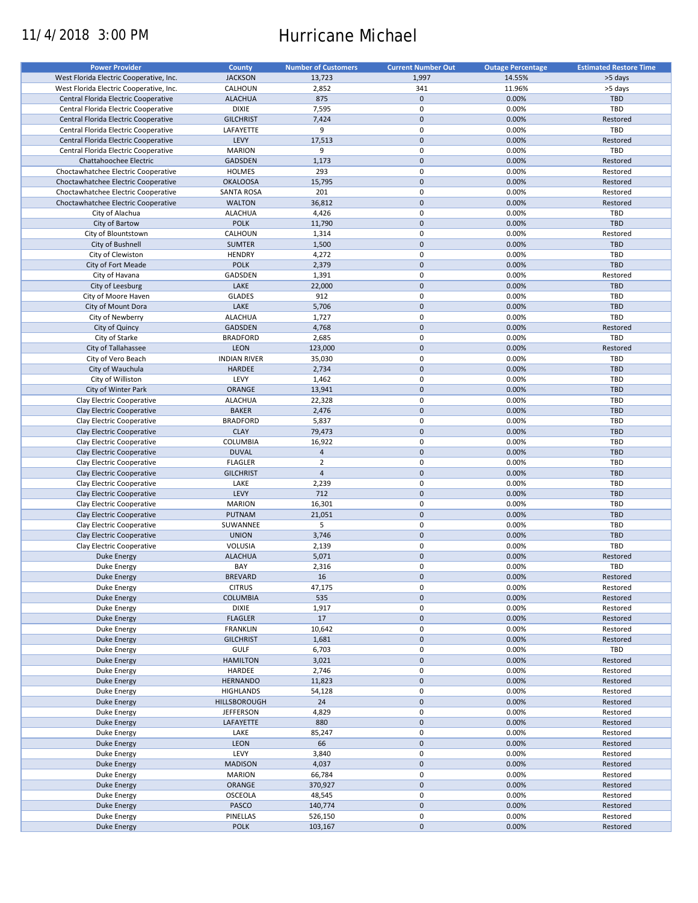# 11/4/2018 3:00 PM Hurricane Michael

| <b>Power Provider</b>                   | <b>County</b>       | <b>Number of Customers</b> | <b>Current Number Out</b> | <b>Outage Percentage</b> | <b>Estimated Restore Time</b> |
|-----------------------------------------|---------------------|----------------------------|---------------------------|--------------------------|-------------------------------|
| West Florida Electric Cooperative, Inc. | <b>JACKSON</b>      | 13,723                     | 1,997                     | 14.55%                   | >5 days                       |
| West Florida Electric Cooperative, Inc. | CALHOUN             | 2,852                      | 341                       | 11.96%                   | >5 days                       |
| Central Florida Electric Cooperative    | <b>ALACHUA</b>      | 875                        | $\mathbf 0$               | 0.00%                    | TBD                           |
| Central Florida Electric Cooperative    | <b>DIXIE</b>        | 7,595                      | 0                         | 0.00%                    | TBD                           |
| Central Florida Electric Cooperative    | <b>GILCHRIST</b>    | 7,424                      | $\mathbf 0$               | 0.00%                    | Restored                      |
|                                         |                     | 9                          | 0                         |                          | <b>TBD</b>                    |
| Central Florida Electric Cooperative    | LAFAYETTE           |                            |                           | 0.00%                    |                               |
| Central Florida Electric Cooperative    | LEVY                | 17,513                     | $\mathbf 0$               | 0.00%                    | Restored                      |
| Central Florida Electric Cooperative    | <b>MARION</b>       | 9                          | 0                         | 0.00%                    | TBD                           |
| Chattahoochee Electric                  | GADSDEN             | 1,173                      | $\mathbf 0$               | 0.00%                    | Restored                      |
| Choctawhatchee Electric Cooperative     | <b>HOLMES</b>       | 293                        | $\mathbf 0$               | 0.00%                    | Restored                      |
| Choctawhatchee Electric Cooperative     | <b>OKALOOSA</b>     | 15,795                     | $\mathbf 0$               | 0.00%                    | Restored                      |
| Choctawhatchee Electric Cooperative     | <b>SANTA ROSA</b>   | 201                        | 0                         | 0.00%                    | Restored                      |
| Choctawhatchee Electric Cooperative     | <b>WALTON</b>       | 36,812                     | $\mathbf 0$               | 0.00%                    | Restored                      |
| City of Alachua                         | <b>ALACHUA</b>      | 4,426                      | 0                         | 0.00%                    | TBD                           |
| City of Bartow                          | <b>POLK</b>         | 11,790                     | $\mathbf 0$               | 0.00%                    | <b>TBD</b>                    |
| City of Blountstown                     | CALHOUN             | 1,314                      | $\mathbf 0$               | 0.00%                    | Restored                      |
| City of Bushnell                        | <b>SUMTER</b>       | 1,500                      | $\mathbf 0$               | 0.00%                    | <b>TBD</b>                    |
| City of Clewiston                       | <b>HENDRY</b>       | 4,272                      | $\mathbf 0$               | 0.00%                    | TBD                           |
| City of Fort Meade                      | <b>POLK</b>         | 2,379                      | $\mathbf 0$               | 0.00%                    | TBD                           |
| City of Havana                          | GADSDEN             | 1,391                      | $\mathbf 0$               | 0.00%                    | Restored                      |
| City of Leesburg                        | LAKE                | 22,000                     | $\mathbf 0$               | 0.00%                    | TBD                           |
| City of Moore Haven                     | <b>GLADES</b>       | 912                        | $\mathbf 0$               | 0.00%                    | TBD                           |
|                                         | LAKE                |                            | $\mathbf 0$               |                          |                               |
| City of Mount Dora                      |                     | 5,706                      |                           | 0.00%                    | TBD                           |
| City of Newberry                        | <b>ALACHUA</b>      | 1,727                      | $\mathbf 0$               | 0.00%                    | <b>TBD</b>                    |
| City of Quincy                          | <b>GADSDEN</b>      | 4,768                      | $\mathbf 0$               | 0.00%                    | Restored                      |
| City of Starke                          | <b>BRADFORD</b>     | 2,685                      | $\mathbf 0$               | 0.00%                    | TBD                           |
| City of Tallahassee                     | LEON                | 123,000                    | $\mathbf 0$               | 0.00%                    | Restored                      |
| City of Vero Beach                      | <b>INDIAN RIVER</b> | 35,030                     | 0                         | 0.00%                    | <b>TBD</b>                    |
| City of Wauchula                        | <b>HARDEE</b>       | 2,734                      | $\mathbf 0$               | 0.00%                    | <b>TBD</b>                    |
| City of Williston                       | LEVY                | 1,462                      | $\mathbf 0$               | 0.00%                    | <b>TBD</b>                    |
| City of Winter Park                     | ORANGE              | 13,941                     | $\mathbf 0$               | 0.00%                    | <b>TBD</b>                    |
| Clay Electric Cooperative               | <b>ALACHUA</b>      | 22,328                     | $\mathbf 0$               | 0.00%                    | TBD                           |
| Clay Electric Cooperative               | <b>BAKER</b>        | 2,476                      | $\mathbf 0$               | 0.00%                    | <b>TBD</b>                    |
| Clay Electric Cooperative               | <b>BRADFORD</b>     | 5,837                      | $\mathbf 0$               | 0.00%                    | TBD                           |
| Clay Electric Cooperative               | <b>CLAY</b>         | 79,473                     | $\mathbf 0$               | 0.00%                    | <b>TBD</b>                    |
| Clay Electric Cooperative               | <b>COLUMBIA</b>     | 16,922                     | 0                         | 0.00%                    | TBD                           |
| Clay Electric Cooperative               | <b>DUVAL</b>        | $\overline{4}$             | $\mathbf 0$               | 0.00%                    | <b>TBD</b>                    |
| Clay Electric Cooperative               | <b>FLAGLER</b>      | $\overline{2}$             | $\pmb{0}$                 | 0.00%                    | TBD                           |
| Clay Electric Cooperative               | <b>GILCHRIST</b>    | $\overline{4}$             | $\pmb{0}$                 | 0.00%                    | <b>TBD</b>                    |
| Clay Electric Cooperative               | LAKE                | 2,239                      | 0                         | 0.00%                    | TBD                           |
| Clay Electric Cooperative               | LEVY                | 712                        | $\mathbf 0$               | 0.00%                    | <b>TBD</b>                    |
| Clay Electric Cooperative               | <b>MARION</b>       | 16,301                     | $\pmb{0}$                 | 0.00%                    | TBD                           |
| Clay Electric Cooperative               | PUTNAM              | 21,051                     | $\mathbf 0$               | 0.00%                    | <b>TBD</b>                    |
|                                         |                     |                            |                           |                          |                               |
| Clay Electric Cooperative               | SUWANNEE            | 5                          | $\mathbf 0$               | 0.00%                    | TBD                           |
| Clay Electric Cooperative               | <b>UNION</b>        | 3,746                      | $\mathbf 0$               | 0.00%                    | <b>TBD</b>                    |
| Clay Electric Cooperative               | VOLUSIA             | 2,139                      | $\pmb{0}$                 | 0.00%                    | TBD                           |
| <b>Duke Energy</b>                      | <b>ALACHUA</b>      | 5,071                      | $\mathbf 0$               | 0.00%                    | Restored                      |
| Duke Energy                             | BAY                 | 2,316                      | $\mathbf 0$               | 0.00%                    | <b>TBD</b>                    |
| <b>Duke Energy</b>                      | <b>BREVARD</b>      | 16                         | $\pmb{0}$                 | 0.00%                    | Restored                      |
| Duke Energy                             | <b>CITRUS</b>       | 47,175                     | 0                         | 0.00%                    | Restored                      |
| <b>Duke Energy</b>                      | <b>COLUMBIA</b>     | 535                        | $\pmb{0}$                 | 0.00%                    | Restored                      |
| Duke Energy                             | <b>DIXIE</b>        | 1,917                      | 0                         | 0.00%                    | Restored                      |
| Duke Energy                             | <b>FLAGLER</b>      | 17                         | $\pmb{0}$                 | 0.00%                    | Restored                      |
| Duke Energy                             | <b>FRANKLIN</b>     | 10,642                     | 0                         | 0.00%                    | Restored                      |
| <b>Duke Energy</b>                      | <b>GILCHRIST</b>    | 1,681                      | $\pmb{0}$                 | 0.00%                    | Restored                      |
| Duke Energy                             | <b>GULF</b>         | 6,703                      | 0                         | 0.00%                    | TBD                           |
| <b>Duke Energy</b>                      | <b>HAMILTON</b>     | 3,021                      | $\pmb{0}$                 | 0.00%                    | Restored                      |
| <b>Duke Energy</b>                      | HARDEE              | 2,746                      | 0                         | 0.00%                    | Restored                      |
| Duke Energy                             |                     |                            | $\pmb{0}$                 |                          | Restored                      |
|                                         | <b>HERNANDO</b>     | 11,823                     |                           | 0.00%                    |                               |
| Duke Energy                             | <b>HIGHLANDS</b>    | 54,128                     | $\pmb{0}$                 | 0.00%                    | Restored                      |
| <b>Duke Energy</b>                      | HILLSBOROUGH        | 24                         | $\pmb{0}$                 | 0.00%                    | Restored                      |
| <b>Duke Energy</b>                      | <b>JEFFERSON</b>    | 4,829                      | 0                         | 0.00%                    | Restored                      |
| Duke Energy                             | LAFAYETTE           | 880                        | $\pmb{0}$                 | 0.00%                    | Restored                      |
| Duke Energy                             | LAKE                | 85,247                     | $\pmb{0}$                 | 0.00%                    | Restored                      |
| <b>Duke Energy</b>                      | LEON                | 66                         | $\pmb{0}$                 | 0.00%                    | Restored                      |
| Duke Energy                             | LEVY                | 3,840                      | $\pmb{0}$                 | 0.00%                    | Restored                      |
| <b>Duke Energy</b>                      | <b>MADISON</b>      | 4,037                      | $\pmb{0}$                 | 0.00%                    | Restored                      |
| Duke Energy                             | <b>MARION</b>       | 66,784                     | 0                         | 0.00%                    | Restored                      |
| <b>Duke Energy</b>                      | ORANGE              | 370,927                    | $\pmb{0}$                 | 0.00%                    | Restored                      |
| Duke Energy                             | <b>OSCEOLA</b>      | 48,545                     | 0                         | 0.00%                    | Restored                      |
| <b>Duke Energy</b>                      | PASCO               | 140,774                    | $\pmb{0}$                 | 0.00%                    | Restored                      |
| Duke Energy                             | PINELLAS            | 526,150                    | 0                         | 0.00%                    | Restored                      |
| <b>Duke Energy</b>                      | <b>POLK</b>         | 103,167                    | $\pmb{0}$                 | 0.00%                    | Restored                      |
|                                         |                     |                            |                           |                          |                               |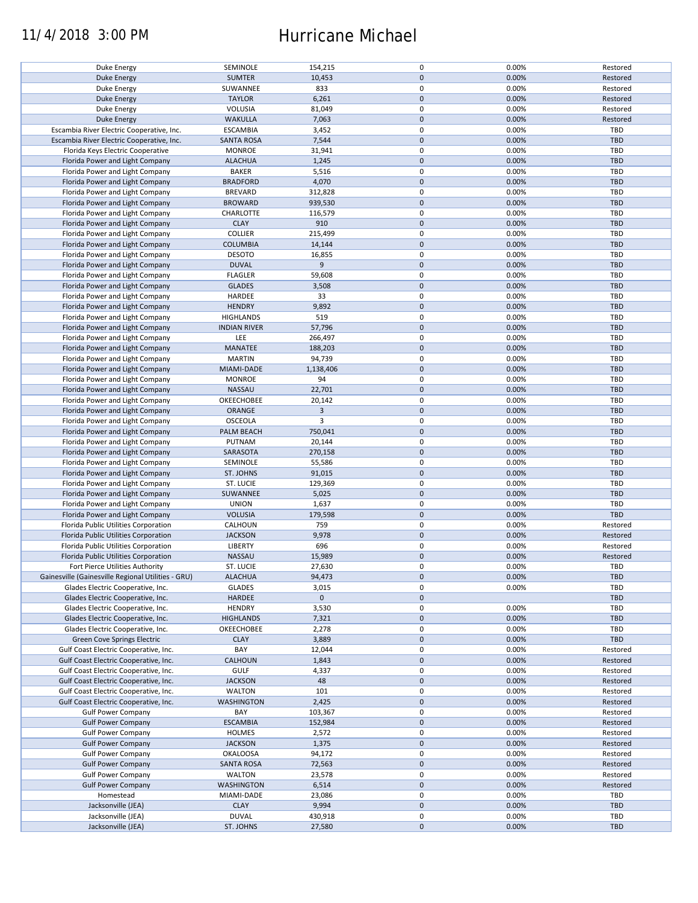## 11/4/2018 3:00 PM Hurricane Michael

| Duke Energy                                        |                           |                   |             |                |            |
|----------------------------------------------------|---------------------------|-------------------|-------------|----------------|------------|
|                                                    | SEMINOLE                  | 154,215           | $\pmb{0}$   | 0.00%          | Restored   |
| <b>Duke Energy</b>                                 | <b>SUMTER</b>             | 10,453            | $\pmb{0}$   | 0.00%          | Restored   |
|                                                    |                           |                   |             |                |            |
| Duke Energy                                        | SUWANNEE                  | 833               | $\pmb{0}$   | 0.00%          | Restored   |
|                                                    |                           |                   |             |                |            |
| <b>Duke Energy</b>                                 | <b>TAYLOR</b>             | 6,261             | $\pmb{0}$   | 0.00%          | Restored   |
| Duke Energy                                        | VOLUSIA                   | 81,049            | $\pmb{0}$   | 0.00%          | Restored   |
|                                                    |                           |                   |             |                |            |
| Duke Energy                                        | <b>WAKULLA</b>            | 7,063             | $\pmb{0}$   | 0.00%          | Restored   |
| Escambia River Electric Cooperative, Inc.          | <b>ESCAMBIA</b>           |                   | $\pmb{0}$   | 0.00%          | TBD        |
|                                                    |                           | 3,452             |             |                |            |
| Escambia River Electric Cooperative, Inc.          | <b>SANTA ROSA</b>         | 7,544             | $\pmb{0}$   | 0.00%          | <b>TBD</b> |
|                                                    |                           |                   |             |                |            |
| Florida Keys Electric Cooperative                  | <b>MONROE</b>             | 31,941            | $\pmb{0}$   | 0.00%          | TBD        |
| Florida Power and Light Company                    | <b>ALACHUA</b>            | 1,245             | $\pmb{0}$   | 0.00%          | <b>TBD</b> |
|                                                    |                           |                   |             |                |            |
| Florida Power and Light Company                    | <b>BAKER</b>              | 5,516             | $\mathbf 0$ | 0.00%          | TBD        |
|                                                    |                           |                   |             |                |            |
| Florida Power and Light Company                    | <b>BRADFORD</b>           | 4,070             | $\pmb{0}$   | 0.00%          | <b>TBD</b> |
| Florida Power and Light Company                    | <b>BREVARD</b>            | 312,828           | $\pmb{0}$   | 0.00%          | <b>TBD</b> |
|                                                    |                           |                   |             |                |            |
| Florida Power and Light Company                    | <b>BROWARD</b>            | 939,530           | $\pmb{0}$   | 0.00%          | <b>TBD</b> |
|                                                    |                           |                   |             |                |            |
| Florida Power and Light Company                    | CHARLOTTE                 | 116,579           | $\pmb{0}$   | 0.00%          | <b>TBD</b> |
| Florida Power and Light Company                    | <b>CLAY</b>               | 910               | $\pmb{0}$   | 0.00%          | <b>TBD</b> |
|                                                    |                           |                   |             |                |            |
| Florida Power and Light Company                    | <b>COLLIER</b>            | 215,499           | $\pmb{0}$   | 0.00%          | <b>TBD</b> |
| Florida Power and Light Company                    | <b>COLUMBIA</b>           |                   | $\pmb{0}$   | 0.00%          | <b>TBD</b> |
|                                                    |                           | 14,144            |             |                |            |
| Florida Power and Light Company                    | <b>DESOTO</b>             | 16,855            | $\pmb{0}$   | 0.00%          | TBD        |
|                                                    |                           |                   |             |                |            |
| Florida Power and Light Company                    | <b>DUVAL</b>              | 9                 | $\pmb{0}$   | 0.00%          | <b>TBD</b> |
|                                                    | <b>FLAGLER</b>            |                   | $\pmb{0}$   | 0.00%          | <b>TBD</b> |
| Florida Power and Light Company                    |                           | 59,608            |             |                |            |
| Florida Power and Light Company                    | <b>GLADES</b>             | 3,508             | $\pmb{0}$   | 0.00%          | <b>TBD</b> |
|                                                    |                           |                   |             |                |            |
| Florida Power and Light Company                    | HARDEE                    | 33                | $\pmb{0}$   | 0.00%          | <b>TBD</b> |
| Florida Power and Light Company                    | <b>HENDRY</b>             | 9,892             | $\mathbf 0$ | 0.00%          | <b>TBD</b> |
|                                                    |                           |                   |             |                |            |
| Florida Power and Light Company                    | <b>HIGHLANDS</b>          | 519               | $\pmb{0}$   | 0.00%          | <b>TBD</b> |
|                                                    |                           |                   |             |                |            |
| Florida Power and Light Company                    | <b>INDIAN RIVER</b>       | 57,796            | $\pmb{0}$   | 0.00%          | TBD        |
|                                                    |                           |                   | $\pmb{0}$   |                | <b>TBD</b> |
| Florida Power and Light Company                    | LEE                       | 266,497           |             | 0.00%          |            |
| Florida Power and Light Company                    | MANATEE                   | 188,203           | $\pmb{0}$   | 0.00%          | <b>TBD</b> |
|                                                    |                           |                   |             |                |            |
| Florida Power and Light Company                    | <b>MARTIN</b>             | 94,739            | $\pmb{0}$   | 0.00%          | <b>TBD</b> |
| Florida Power and Light Company                    | MIAMI-DADE                | 1,138,406         | $\pmb{0}$   | 0.00%          | <b>TBD</b> |
|                                                    |                           |                   |             |                |            |
| Florida Power and Light Company                    | <b>MONROE</b>             | 94                | $\pmb{0}$   | 0.00%          | <b>TBD</b> |
|                                                    |                           |                   |             |                |            |
| Florida Power and Light Company                    | NASSAU                    | 22,701            | $\pmb{0}$   | 0.00%          | <b>TBD</b> |
| Florida Power and Light Company                    | OKEECHOBEE                | 20,142            | $\mathbf 0$ | 0.00%          | TBD        |
|                                                    |                           |                   |             |                |            |
| Florida Power and Light Company                    | ORANGE                    | 3                 | $\pmb{0}$   | 0.00%          | <b>TBD</b> |
|                                                    |                           |                   |             |                |            |
| Florida Power and Light Company                    | OSCEOLA                   | 3                 | $\pmb{0}$   | 0.00%          | TBD        |
| Florida Power and Light Company                    | PALM BEACH                | 750,041           | $\pmb{0}$   | 0.00%          | <b>TBD</b> |
|                                                    |                           |                   |             |                |            |
| Florida Power and Light Company                    | PUTNAM                    | 20,144            | $\pmb{0}$   | 0.00%          | <b>TBD</b> |
|                                                    | SARASOTA                  | 270,158           | $\pmb{0}$   | 0.00%          | <b>TBD</b> |
| Florida Power and Light Company                    |                           |                   |             |                |            |
| Florida Power and Light Company                    | SEMINOLE                  | 55,586            | $\pmb{0}$   | 0.00%          | TBD        |
|                                                    |                           |                   |             |                |            |
| Florida Power and Light Company                    | ST. JOHNS                 | 91,015            | $\mathbf 0$ | 0.00%          | <b>TBD</b> |
| Florida Power and Light Company                    | ST. LUCIE                 | 129,369           | 0           | 0.00%          | TBD        |
|                                                    |                           |                   |             |                |            |
| Florida Power and Light Company                    | SUWANNEE                  | 5,025             | $\mathbf 0$ | 0.00%          | <b>TBD</b> |
|                                                    |                           |                   |             |                |            |
| Florida Power and Light Company                    | <b>UNION</b>              | 1,637             | $\pmb{0}$   | 0.00%          | TBD        |
| Florida Power and Light Company                    | <b>VOLUSIA</b>            | 179,598           | $\pmb{0}$   | 0.00%          | <b>TBD</b> |
|                                                    |                           |                   |             |                |            |
| Florida Public Utilities Corporation               | CALHOUN                   | 759               | 0           | 0.00%          | Restored   |
|                                                    |                           |                   |             |                |            |
| Florida Public Utilities Corporation               | <b>JACKSON</b>            | 9,978             | $\mathbf 0$ | 0.00%          | Restored   |
| Florida Public Utilities Corporation               | LIBERTY                   | 696               | $\pmb{0}$   | 0.00%          | Restored   |
|                                                    |                           |                   |             |                |            |
| Florida Public Utilities Corporation               | <b>NASSAU</b>             | 15,989            | $\pmb{0}$   | 0.00%          | Restored   |
|                                                    |                           |                   | $\mathbf 0$ |                | TBD        |
| Fort Pierce Utilities Authority                    | ST. LUCIE                 | 27,630            |             | 0.00%          |            |
| Gainesville (Gainesville Regional Utilities - GRU) | <b>ALACHUA</b>            | 94,473            |             |                |            |
|                                                    |                           |                   |             |                |            |
|                                                    |                           |                   | $\pmb{0}$   | 0.00%          | <b>TBD</b> |
| Glades Electric Cooperative, Inc.                  | <b>GLADES</b>             | 3,015             | $\pmb{0}$   | 0.00%          | TBD        |
|                                                    |                           |                   |             |                |            |
| Glades Electric Cooperative, Inc.                  | HARDEE                    | $\mathbf 0$       | $\pmb{0}$   |                | <b>TBD</b> |
|                                                    |                           |                   | $\pmb{0}$   |                | TBD        |
| Glades Electric Cooperative, Inc.                  | <b>HENDRY</b>             | 3,530             |             | 0.00%          |            |
| Glades Electric Cooperative, Inc.                  | <b>HIGHLANDS</b>          | 7,321             | $\mathbf 0$ | 0.00%          | <b>TBD</b> |
|                                                    |                           |                   |             |                |            |
| Glades Electric Cooperative, Inc.                  | OKEECHOBEE                | 2,278             | 0           | 0.00%          | TBD        |
| Green Cove Springs Electric                        | <b>CLAY</b>               |                   | $\pmb{0}$   | 0.00%          | <b>TBD</b> |
|                                                    |                           | 3,889             |             |                |            |
| Gulf Coast Electric Cooperative, Inc.              | BAY                       | 12,044            | 0           | 0.00%          | Restored   |
|                                                    |                           |                   |             |                |            |
| Gulf Coast Electric Cooperative, Inc.              | CALHOUN                   | 1,843             | 0           | 0.00%          | Restored   |
| Gulf Coast Electric Cooperative, Inc.              | <b>GULF</b>               | 4,337             | 0           | 0.00%          | Restored   |
|                                                    |                           |                   |             |                |            |
| Gulf Coast Electric Cooperative, Inc.              | <b>JACKSON</b>            | 48                | $\pmb{0}$   | 0.00%          | Restored   |
|                                                    |                           |                   |             |                |            |
| Gulf Coast Electric Cooperative, Inc.              | WALTON                    | 101               | 0           | 0.00%          | Restored   |
| Gulf Coast Electric Cooperative, Inc.              | <b>WASHINGTON</b>         | 2,425             | $\pmb{0}$   | 0.00%          | Restored   |
|                                                    |                           |                   |             |                |            |
| <b>Gulf Power Company</b>                          | BAY                       | 103,367           | 0           | 0.00%          | Restored   |
|                                                    |                           |                   |             |                |            |
| <b>Gulf Power Company</b>                          | <b>ESCAMBIA</b>           | 152,984           | $\pmb{0}$   | 0.00%          | Restored   |
| <b>Gulf Power Company</b>                          | <b>HOLMES</b>             | 2,572             | 0           | 0.00%          | Restored   |
|                                                    |                           |                   |             |                |            |
| <b>Gulf Power Company</b>                          | <b>JACKSON</b>            | 1,375             | $\pmb{0}$   | 0.00%          | Restored   |
|                                                    |                           |                   |             |                |            |
| <b>Gulf Power Company</b>                          | <b>OKALOOSA</b>           | 94,172            | 0           | 0.00%          | Restored   |
| <b>Gulf Power Company</b>                          | <b>SANTA ROSA</b>         | 72,563            | $\pmb{0}$   | 0.00%          | Restored   |
|                                                    |                           |                   |             |                |            |
| <b>Gulf Power Company</b>                          | WALTON                    | 23,578            | 0           | 0.00%          | Restored   |
|                                                    |                           |                   |             |                |            |
| <b>Gulf Power Company</b>                          | WASHINGTON                | 6,514             | $\pmb{0}$   | 0.00%          | Restored   |
| Homestead                                          | MIAMI-DADE                | 23,086            | 0           | 0.00%          | TBD        |
|                                                    |                           |                   |             |                |            |
| Jacksonville (JEA)                                 | <b>CLAY</b>               | 9,994             | $\mathbf 0$ | 0.00%          | <b>TBD</b> |
|                                                    |                           |                   |             |                | TBD        |
| Jacksonville (JEA)<br>Jacksonville (JEA)           | <b>DUVAL</b><br>ST. JOHNS | 430,918<br>27,580 | 0<br>0      | 0.00%<br>0.00% | TBD        |